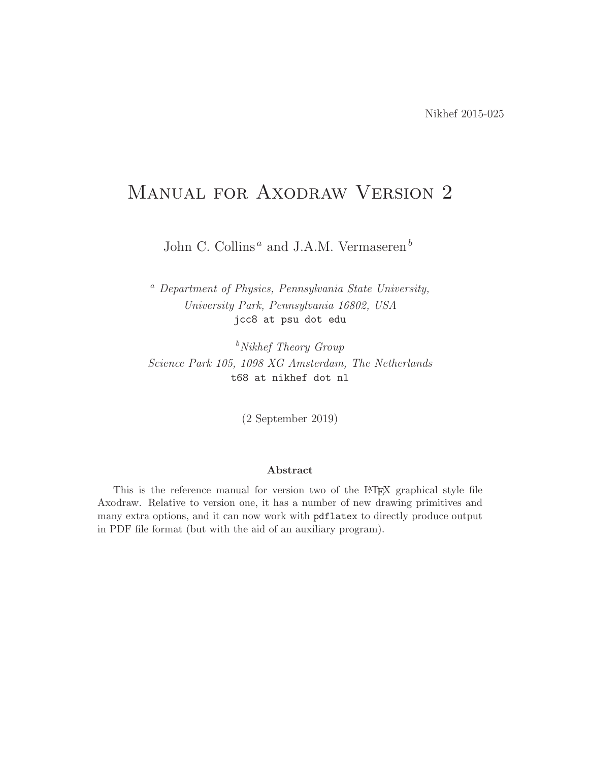# MANUAL FOR AXODRAW VERSION 2

John C. Collins<sup>*a*</sup> and J.A.M. Vermaseren<sup>*b*</sup>

<sup>a</sup> Department of Physics, Pennsylvania State University, University Park, Pennsylvania 16802, USA jcc8 at psu dot edu

 $b$ Nikhef Theory Group Science Park 105, 1098 XG Amsterdam, The Netherlands t68 at nikhef dot nl

(2 September 2019)

#### Abstract

This is the reference manual for version two of the LAT<sub>EX</sub> graphical style file Axodraw. Relative to version one, it has a number of new drawing primitives and many extra options, and it can now work with pdflatex to directly produce output in PDF file format (but with the aid of an auxiliary program).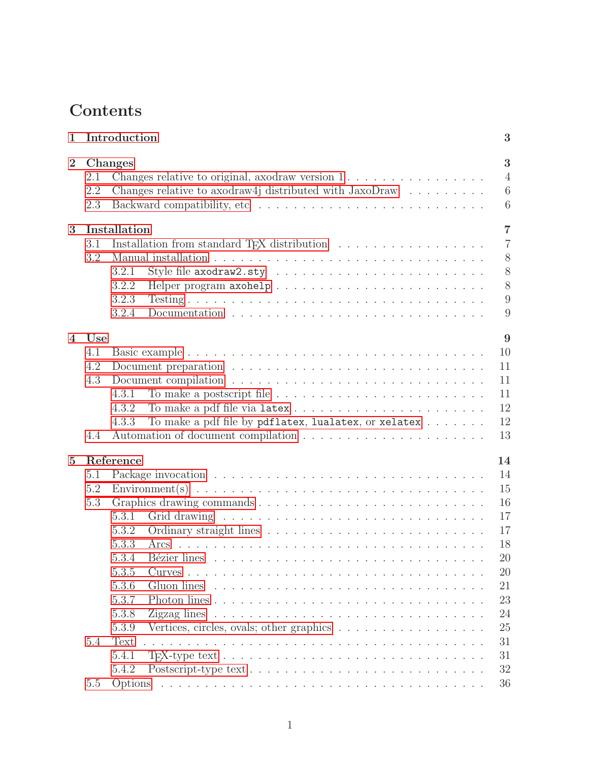# Contents

| $\mathbf{1}$   |         | Introduction                                                                                                       | 3              |
|----------------|---------|--------------------------------------------------------------------------------------------------------------------|----------------|
| $\overline{2}$ |         | Changes                                                                                                            | 3              |
|                | 2.1     | Changes relative to original, axodraw version 1                                                                    | $\overline{4}$ |
|                | 2.2     | Changes relative to axodraw4j distributed with $JavaDraw$                                                          | 6              |
|                | 2.3     |                                                                                                                    | 6              |
| 3              |         | Installation                                                                                                       | $\overline{7}$ |
|                | 3.1     | Installation from standard T <sub>F</sub> X distribution                                                           | $\overline{7}$ |
|                | 3.2     |                                                                                                                    | 8              |
|                |         | 3.2.1                                                                                                              | 8              |
|                |         | 3.2.2                                                                                                              | 8              |
|                |         | 3.2.3                                                                                                              | 9              |
|                |         | 3.2.4                                                                                                              | 9              |
| $\overline{4}$ | Use     |                                                                                                                    | 9              |
|                | 4.1     |                                                                                                                    | 10             |
|                | 4.2     |                                                                                                                    | 11             |
|                | 4.3     |                                                                                                                    | 11             |
|                |         | 4.3.1                                                                                                              | 11             |
|                |         | 4.3.2                                                                                                              | 12             |
|                |         | To make a pdf file by pdflatex, lualatex, or xelatex<br>4.3.3                                                      | 12             |
|                | 4.4     |                                                                                                                    | 13             |
|                |         |                                                                                                                    |                |
| $\overline{5}$ |         | Reference                                                                                                          | 14             |
|                | 5.1     |                                                                                                                    | 14             |
|                | 5.2     |                                                                                                                    | 15             |
|                | 5.3     |                                                                                                                    | 16             |
|                |         | 5.3.1                                                                                                              | 17             |
|                |         | 5.3.2                                                                                                              | 17             |
|                |         | 5.3.3<br>Arcs                                                                                                      | 18             |
|                |         | 5.3.4                                                                                                              | 20             |
|                |         | 5.3.5                                                                                                              | 20             |
|                |         | 5.3.6<br>Gluon lines                                                                                               | 21             |
|                |         | 5.3.7                                                                                                              | 23             |
|                |         | 5.3.8<br>Zigzag lines $\ldots \ldots \ldots \ldots \ldots \ldots \ldots \ldots \ldots \ldots \ldots \ldots$        | 24             |
|                |         | 5.3.9<br>Vertices, circles, ovals; other graphics                                                                  | 25             |
|                | 5.4     | Text                                                                                                               | 31             |
|                |         | 5.4.1                                                                                                              | 31             |
|                |         | 5.4.2                                                                                                              | 32             |
|                | $5.5\,$ | Options<br>a de la caractería de la caractería de la caractería de la caractería de la caractería de la caractería | 36             |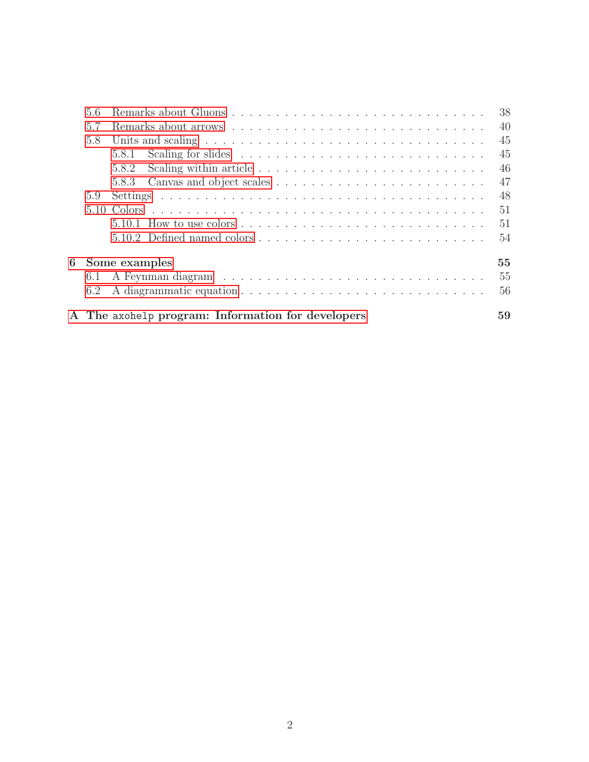| 56  |                                                                                                  | 38 |
|-----|--------------------------------------------------------------------------------------------------|----|
| 5.7 |                                                                                                  | 40 |
| 5.8 | Units and scaling $\ldots \ldots \ldots \ldots \ldots \ldots \ldots \ldots \ldots \ldots \ldots$ | 45 |
|     | 5.8.1                                                                                            | 45 |
|     | 5.8.2                                                                                            | 46 |
|     | 5.8.3                                                                                            | 47 |
| 5.9 |                                                                                                  | 48 |
|     |                                                                                                  | 51 |
|     |                                                                                                  | 51 |
|     |                                                                                                  | 54 |
|     | 6 Some examples                                                                                  | 55 |
| 6.1 |                                                                                                  | 55 |
| 6.2 |                                                                                                  | 56 |
|     | A The axohelp program: Information for developers                                                | 59 |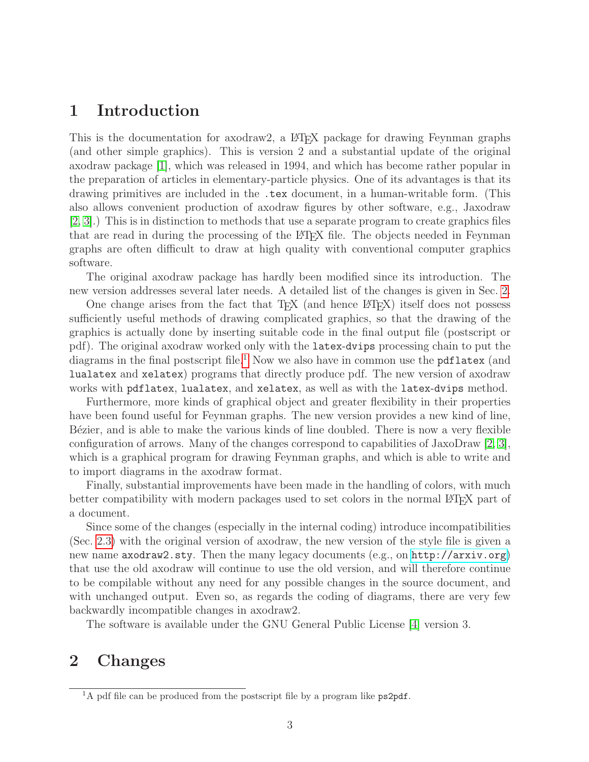# <span id="page-3-0"></span>1 Introduction

This is the documentation for axodraw2, a LATEX package for drawing Feynman graphs (and other simple graphics). This is version 2 and a substantial update of the original axodraw package [\[1\]](#page-61-0), which was released in 1994, and which has become rather popular in the preparation of articles in elementary-particle physics. One of its advantages is that its drawing primitives are included in the .tex document, in a human-writable form. (This also allows convenient production of axodraw figures by other software, e.g., Jaxodraw [\[2,](#page-61-1) [3\]](#page-61-2).) This is in distinction to methods that use a separate program to create graphics files that are read in during the processing of the LATEX file. The objects needed in Feynman graphs are often difficult to draw at high quality with conventional computer graphics software.

The original axodraw package has hardly been modified since its introduction. The new version addresses several later needs. A detailed list of the changes is given in Sec. [2.](#page-3-1)

One change arises from the fact that  $T_{\rm F}X$  (and hence  $\mathbb{P}\rm{Tr}X$ ) itself does not possess sufficiently useful methods of drawing complicated graphics, so that the drawing of the graphics is actually done by inserting suitable code in the final output file (postscript or pdf). The original axodraw worked only with the latex-dvips processing chain to put the diagrams in the final postscript file.<sup>[1](#page-3-3)</sup> Now we also have in common use the **pdflatex** (and lualatex and xelatex) programs that directly produce pdf. The new version of axodraw works with pdflatex, lualatex, and xelatex, as well as with the latex-dvips method.

Furthermore, more kinds of graphical object and greater flexibility in their properties have been found useful for Feynman graphs. The new version provides a new kind of line, Bézier, and is able to make the various kinds of line doubled. There is now a very flexible configuration of arrows. Many of the changes correspond to capabilities of JaxoDraw [\[2,](#page-61-1) [3\]](#page-61-2), which is a graphical program for drawing Feynman graphs, and which is able to write and to import diagrams in the axodraw format.

Finally, substantial improvements have been made in the handling of colors, with much better compatibility with modern packages used to set colors in the normal LAT<sub>EX</sub> part of a document.

Since some of the changes (especially in the internal coding) introduce incompatibilities (Sec. [2.3\)](#page-6-1) with the original version of axodraw, the new version of the style file is given a new name axodraw2.sty. Then the many legacy documents (e.g., on <http://arxiv.org>) that use the old axodraw will continue to use the old version, and will therefore continue to be compilable without any need for any possible changes in the source document, and with unchanged output. Even so, as regards the coding of diagrams, there are very few backwardly incompatible changes in axodraw2.

The software is available under the GNU General Public License [\[4\]](#page-61-3) version 3.

# <span id="page-3-1"></span>2 Changes

<span id="page-3-3"></span><span id="page-3-2"></span><sup>&</sup>lt;sup>1</sup>A pdf file can be produced from the postscript file by a program like  $p$ s2pdf.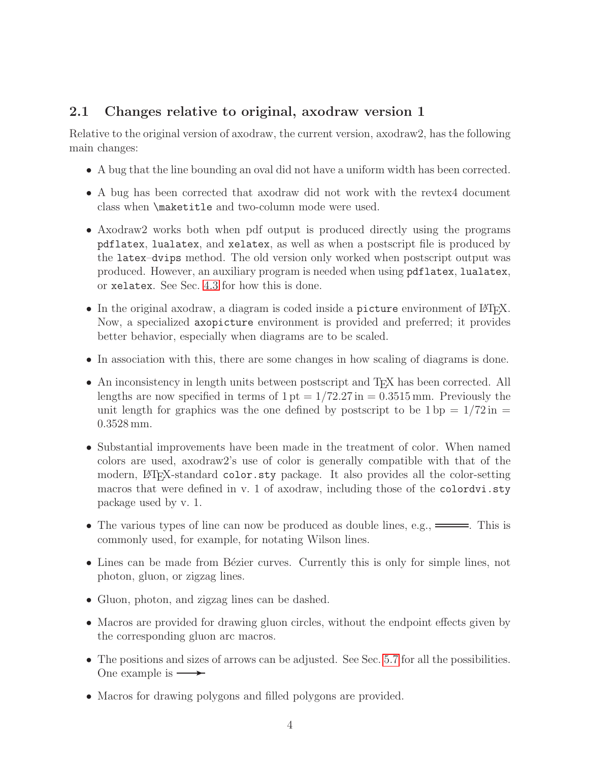# 2.1 Changes relative to original, axodraw version 1

Relative to the original version of axodraw, the current version, axodraw2, has the following main changes:

- A bug that the line bounding an oval did not have a uniform width has been corrected.
- A bug has been corrected that axodraw did not work with the revtex4 document class when \maketitle and two-column mode were used.
- Axodraw2 works both when pdf output is produced directly using the programs pdflatex, lualatex, and xelatex, as well as when a postscript file is produced by the latex–dvips method. The old version only worked when postscript output was produced. However, an auxiliary program is needed when using pdflatex, lualatex, or xelatex. See Sec. [4.3](#page-11-1) for how this is done.
- In the original axodraw, a diagram is coded inside a picture environment of  $\mathbb{F}T_FX$ . Now, a specialized axopicture environment is provided and preferred; it provides better behavior, especially when diagrams are to be scaled.
- In association with this, there are some changes in how scaling of diagrams is done.
- An inconsistency in length units between postscript and T<sub>E</sub>X has been corrected. All lengths are now specified in terms of  $1 \text{ pt} = 1/72.27 \text{ in} = 0.3515 \text{ mm}$ . Previously the unit length for graphics was the one defined by postscript to be  $1 \text{ bp} = 1/72 \text{ in } =$ 0.3528 mm.
- Substantial improvements have been made in the treatment of color. When named colors are used, axodraw2's use of color is generally compatible with that of the modern, LAT<sub>EX</sub>-standard color.sty package. It also provides all the color-setting macros that were defined in v. 1 of axodraw, including those of the colordvi.sty package used by v. 1.
- The various types of line can now be produced as double lines, e.g.,  $\equiv$ . This is commonly used, for example, for notating Wilson lines.
- Lines can be made from Bézier curves. Currently this is only for simple lines, not photon, gluon, or zigzag lines.
- Gluon, photon, and zigzag lines can be dashed.
- Macros are provided for drawing gluon circles, without the endpoint effects given by the corresponding gluon arc macros.
- The positions and sizes of arrows can be adjusted. See Sec. [5.7](#page-40-0) for all the possibilities. One example is  $\longrightarrow$
- Macros for drawing polygons and filled polygons are provided.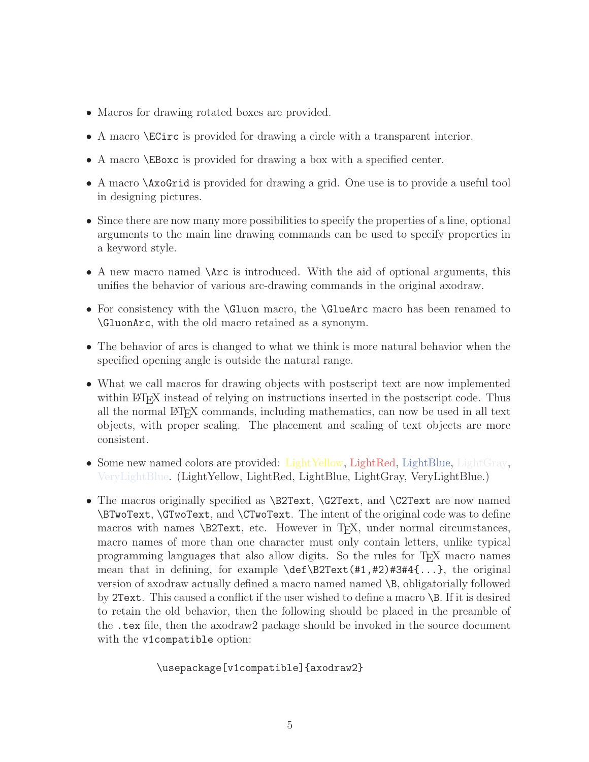- Macros for drawing rotated boxes are provided.
- A macro \ECirc is provided for drawing a circle with a transparent interior.
- A macro \EBoxc is provided for drawing a box with a specified center.
- A macro \AxoGrid is provided for drawing a grid. One use is to provide a useful tool in designing pictures.
- Since there are now many more possibilities to specify the properties of a line, optional arguments to the main line drawing commands can be used to specify properties in a keyword style.
- A new macro named **\Arc** is introduced. With the aid of optional arguments, this unifies the behavior of various arc-drawing commands in the original axodraw.
- For consistency with the **\Gluon** macro, the **\GlueArc** macro has been renamed to \GluonArc, with the old macro retained as a synonym.
- The behavior of arcs is changed to what we think is more natural behavior when the specified opening angle is outside the natural range.
- What we call macros for drawing objects with postscript text are now implemented within LATEX instead of relying on instructions inserted in the postscript code. Thus all the normal LATEX commands, including mathematics, can now be used in all text objects, with proper scaling. The placement and scaling of text objects are more consistent.
- Some new named colors are provided: LightYellow, LightRed, LightBlue, LightGray, VeryLightBlue. (LightYellow, LightRed, LightBlue, LightGray, VeryLightBlue.)
- The macros originally specified as **\B2Text**, **\G2Text**, and **\C2Text** are now named \BTwoText, \GTwoText, and \CTwoText. The intent of the original code was to define macros with names \B2Text, etc. However in T<sub>E</sub>X, under normal circumstances, macro names of more than one character must only contain letters, unlike typical programming languages that also allow digits. So the rules for TEX macro names mean that in defining, for example \def\B2Text(#1,#2)#3#4{...}, the original version of axodraw actually defined a macro named named \B, obligatorially followed by 2Text. This caused a conflict if the user wished to define a macro \B. If it is desired to retain the old behavior, then the following should be placed in the preamble of the .tex file, then the axodraw2 package should be invoked in the source document with the v1compatible option:

\usepackage[v1compatible]{axodraw2}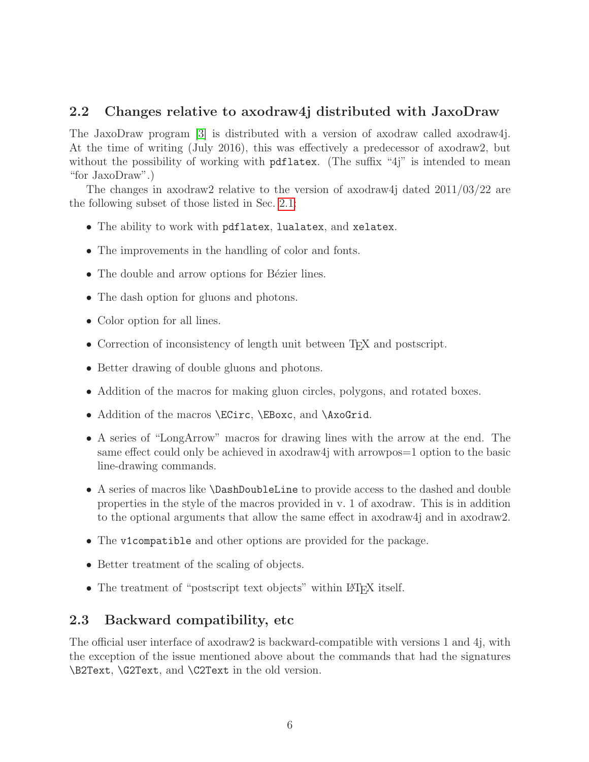### <span id="page-6-0"></span>2.2 Changes relative to axodraw4j distributed with JaxoDraw

The JaxoDraw program [\[3\]](#page-61-2) is distributed with a version of axodraw called axodraw4j. At the time of writing (July 2016), this was effectively a predecessor of axodraw2, but without the possibility of working with pdflatex. (The suffix "4j" is intended to mean "for JaxoDraw".)

The changes in axodraw2 relative to the version of axodraw4j dated 2011/03/22 are the following subset of those listed in Sec. [2.1:](#page-3-2)

- The ability to work with pdflatex, lualatex, and xelatex.
- The improvements in the handling of color and fonts.
- $\bullet$  The double and arrow options for Bézier lines.
- The dash option for gluons and photons.
- Color option for all lines.
- Correction of inconsistency of length unit between T<sub>E</sub>X and postscript.
- Better drawing of double gluons and photons.
- Addition of the macros for making gluon circles, polygons, and rotated boxes.
- Addition of the macros **\ECirc**, **\EBoxc**, and **\AxoGrid**.
- A series of "LongArrow" macros for drawing lines with the arrow at the end. The same effect could only be achieved in axodraw4j with arrowpos=1 option to the basic line-drawing commands.
- A series of macros like \DashDoubleLine to provide access to the dashed and double properties in the style of the macros provided in v. 1 of axodraw. This is in addition to the optional arguments that allow the same effect in axodraw4j and in axodraw2.
- The v1compatible and other options are provided for the package.
- Better treatment of the scaling of objects.
- The treatment of "postscript text objects" within LATEX itself.

### <span id="page-6-1"></span>2.3 Backward compatibility, etc

The official user interface of axodraw2 is backward-compatible with versions 1 and 4j, with the exception of the issue mentioned above about the commands that had the signatures \B2Text, \G2Text, and \C2Text in the old version.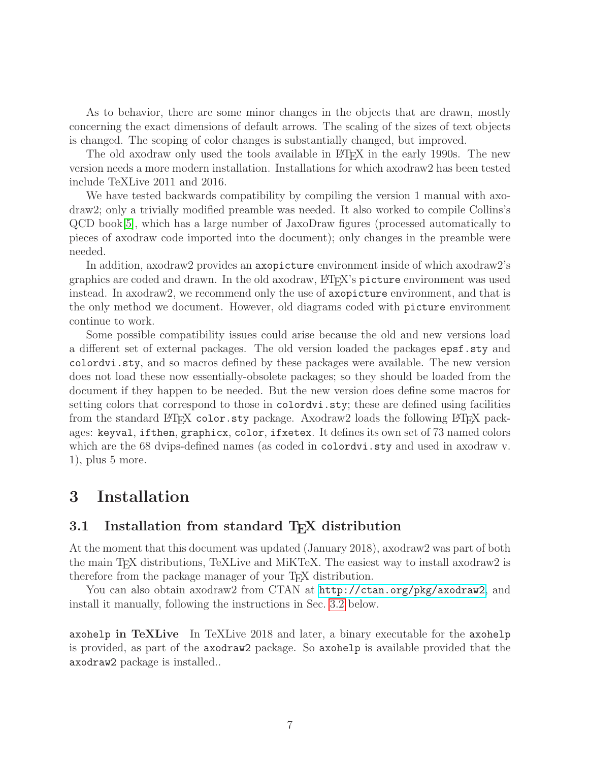As to behavior, there are some minor changes in the objects that are drawn, mostly concerning the exact dimensions of default arrows. The scaling of the sizes of text objects is changed. The scoping of color changes is substantially changed, but improved.

The old axodraw only used the tools available in L<sup>AT</sup>EX in the early 1990s. The new version needs a more modern installation. Installations for which axodraw2 has been tested include TeXLive 2011 and 2016.

We have tested backwards compatibility by compiling the version 1 manual with axodraw2; only a trivially modified preamble was needed. It also worked to compile Collins's QCD book[\[5\]](#page-61-4), which has a large number of JaxoDraw figures (processed automatically to pieces of axodraw code imported into the document); only changes in the preamble were needed.

In addition, axodraw2 provides an axopicture environment inside of which axodraw2's graphics are coded and drawn. In the old axodraw, LATEX's picture environment was used instead. In axodraw2, we recommend only the use of axopicture environment, and that is the only method we document. However, old diagrams coded with picture environment continue to work.

Some possible compatibility issues could arise because the old and new versions load a different set of external packages. The old version loaded the packages epsf.sty and colordvi.sty, and so macros defined by these packages were available. The new version does not load these now essentially-obsolete packages; so they should be loaded from the document if they happen to be needed. But the new version does define some macros for setting colors that correspond to those in colordvi.sty; these are defined using facilities from the standard LATEX color.sty package. Axodraw2 loads the following LATEX packages: keyval, ifthen, graphicx, color, ifxetex. It defines its own set of 73 named colors which are the 68 dvips-defined names (as coded in colordy i. sty and used in axodraw v. 1), plus 5 more.

# <span id="page-7-0"></span>3 Installation

### <span id="page-7-1"></span>3.1 Installation from standard T<sub>E</sub>X distribution

At the moment that this document was updated (January 2018), axodraw2 was part of both the main TEX distributions, TeXLive and MiKTeX. The easiest way to install axodraw2 is therefore from the package manager of your TEX distribution.

You can also obtain axodraw2 from CTAN at <http://ctan.org/pkg/axodraw2>, and install it manually, following the instructions in Sec. [3.2](#page-8-0) below.

axohelp in TeXLive In TeXLive 2018 and later, a binary executable for the axohelp is provided, as part of the axodraw2 package. So axohelp is available provided that the axodraw2 package is installed..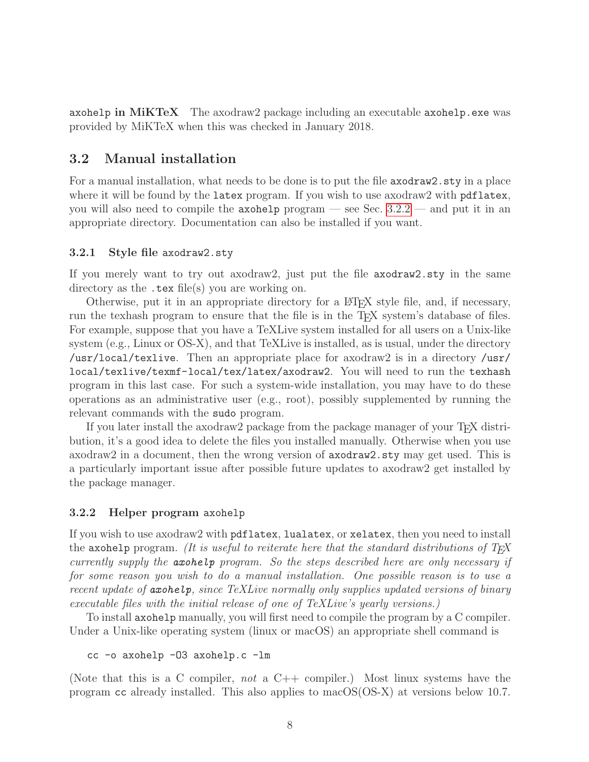axohelp in MiKTeX The axodraw2 package including an executable axohelp.exe was provided by MiKTeX when this was checked in January 2018.

### <span id="page-8-0"></span>3.2 Manual installation

For a manual installation, what needs to be done is to put the file axodraw2.sty in a place where it will be found by the latex program. If you wish to use axodraw2 with pdflatex, you will also need to compile the  $\alpha$  axohelp program — see Sec. [3.2.2](#page-8-2) — and put it in an appropriate directory. Documentation can also be installed if you want.

#### <span id="page-8-1"></span>3.2.1 Style file axodraw2.sty

If you merely want to try out axodraw2, just put the file axodraw2.sty in the same directory as the .tex file(s) you are working on.

Otherwise, put it in an appropriate directory for a LATEX style file, and, if necessary, run the texhash program to ensure that the file is in the TEX system's database of files. For example, suppose that you have a TeXLive system installed for all users on a Unix-like system (e.g., Linux or OS-X), and that TeXLive is installed, as is usual, under the directory /usr/local/texlive. Then an appropriate place for axodraw2 is in a directory /usr/ local/texlive/texmf-local/tex/latex/axodraw2. You will need to run the texhash program in this last case. For such a system-wide installation, you may have to do these operations as an administrative user (e.g., root), possibly supplemented by running the relevant commands with the sudo program.

If you later install the axodraw2 package from the package manager of your T<sub>E</sub>X distribution, it's a good idea to delete the files you installed manually. Otherwise when you use axodraw2 in a document, then the wrong version of axodraw2.sty may get used. This is a particularly important issue after possible future updates to axodraw2 get installed by the package manager.

#### <span id="page-8-2"></span>3.2.2 Helper program axohelp

If you wish to use axodraw2 with pdflatex, lualatex, or xelatex, then you need to install the axohelp program. (It is useful to reiterate here that the standard distributions of  $T_F X$ currently supply the axohelp program. So the steps described here are only necessary if for some reason you wish to do a manual installation. One possible reason is to use a recent update of axohelp, since TeXLive normally only supplies updated versions of binary executable files with the initial release of one of TeXLive's yearly versions.)

To install axohelp manually, you will first need to compile the program by a C compiler. Under a Unix-like operating system (linux or macOS) an appropriate shell command is

cc -o axohelp -O3 axohelp.c -lm

(Note that this is a C compiler, not a  $C++$  compiler.) Most linux systems have the program cc already installed. This also applies to macOS(OS-X) at versions below 10.7.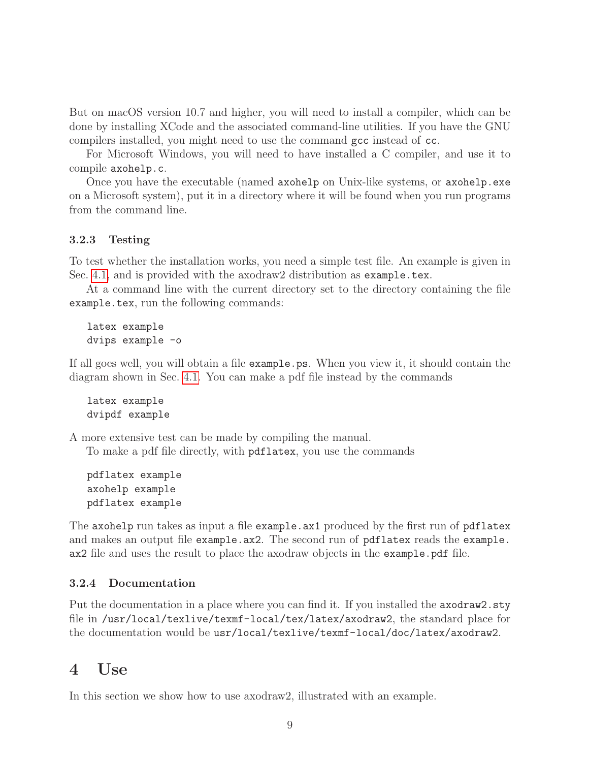But on macOS version 10.7 and higher, you will need to install a compiler, which can be done by installing XCode and the associated command-line utilities. If you have the GNU compilers installed, you might need to use the command gcc instead of cc.

For Microsoft Windows, you will need to have installed a C compiler, and use it to compile axohelp.c.

Once you have the executable (named axohelp on Unix-like systems, or axohelp.exe on a Microsoft system), put it in a directory where it will be found when you run programs from the command line.

#### <span id="page-9-0"></span>3.2.3 Testing

To test whether the installation works, you need a simple test file. An example is given in Sec. [4.1,](#page-10-0) and is provided with the axodraw2 distribution as example.tex.

At a command line with the current directory set to the directory containing the file example.tex, run the following commands:

latex example dvips example -o

If all goes well, you will obtain a file example.ps. When you view it, it should contain the diagram shown in Sec. [4.1.](#page-10-0) You can make a pdf file instead by the commands

```
latex example
dvipdf example
```
A more extensive test can be made by compiling the manual.

To make a pdf file directly, with pdflatex, you use the commands

```
pdflatex example
axohelp example
pdflatex example
```
The axohelp run takes as input a file example.ax1 produced by the first run of pdflatex and makes an output file example.ax2. The second run of pdflatex reads the example. ax2 file and uses the result to place the axodraw objects in the example.pdf file.

### <span id="page-9-1"></span>3.2.4 Documentation

Put the documentation in a place where you can find it. If you installed the  $axodraw2.sty$ file in /usr/local/texlive/texmf-local/tex/latex/axodraw2, the standard place for the documentation would be usr/local/texlive/texmf-local/doc/latex/axodraw2.

# <span id="page-9-2"></span>4 Use

In this section we show how to use axodraw2, illustrated with an example.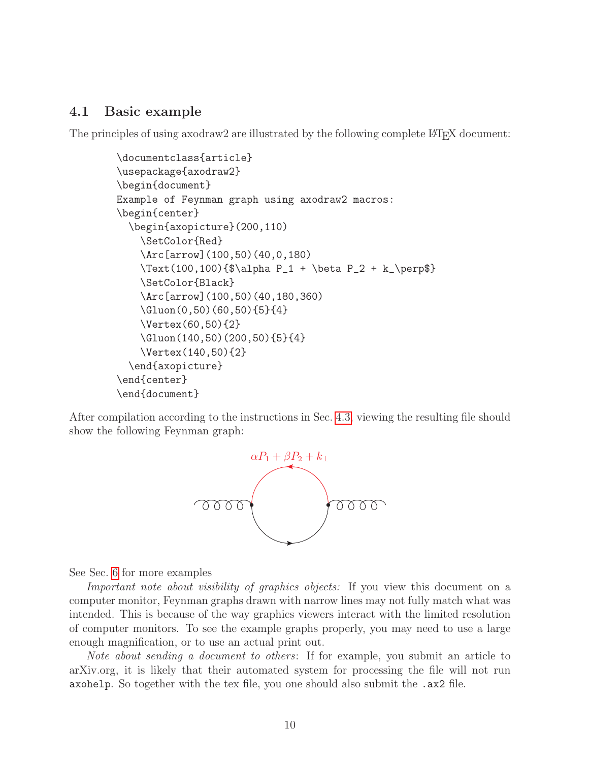### <span id="page-10-0"></span>4.1 Basic example

The principles of using axodraw2 are illustrated by the following complete LATEX document:

```
\documentclass{article}
\usepackage{axodraw2}
\begin{document}
Example of Feynman graph using axodraw2 macros:
\begin{center}
  \begin{axopicture}(200,110)
    \SetColor{Red}
    \Arc[arrow](100,50)(40,0,180)
    \Text(100,100){$\alpha P_1 + \beta P_2 + k_\perp$}
    \SetColor{Black}
    \Arc[arrow](100,50)(40,180,360)
    \Gluon(0,50)(60,50){5}{4}
    \Vertex(60,50){2}
    \Gluon(140,50)(200,50){5}{4}
    \Vertex(140,50){2}
  \end{axopicture}
\end{center}
\end{document}
```
After compilation according to the instructions in Sec. [4.3,](#page-11-1) viewing the resulting file should show the following Feynman graph:



See Sec. [6](#page-55-0) for more examples

Important note about visibility of graphics objects: If you view this document on a computer monitor, Feynman graphs drawn with narrow lines may not fully match what was intended. This is because of the way graphics viewers interact with the limited resolution of computer monitors. To see the example graphs properly, you may need to use a large enough magnification, or to use an actual print out.

Note about sending a document to others: If for example, you submit an article to arXiv.org, it is likely that their automated system for processing the file will not run axohelp. So together with the tex file, you one should also submit the .ax2 file.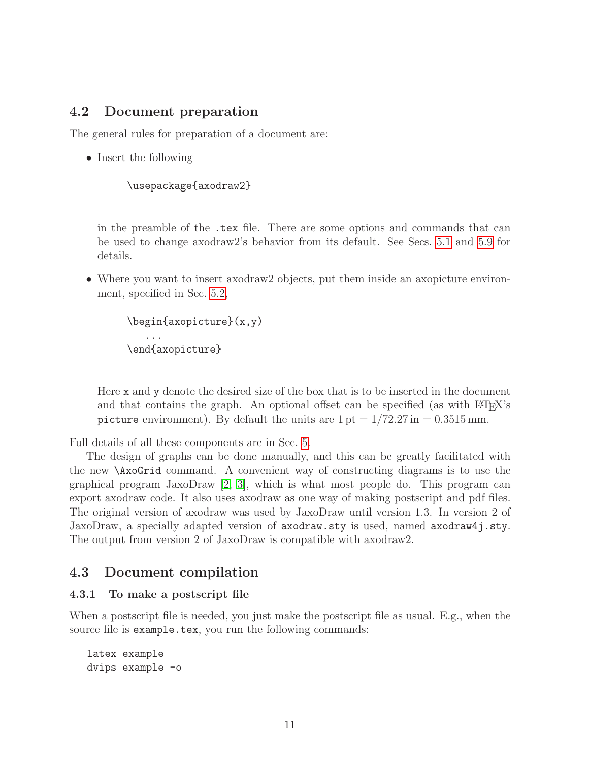### <span id="page-11-0"></span>4.2 Document preparation

The general rules for preparation of a document are:

• Insert the following

```
\usepackage{axodraw2}
```
in the preamble of the .tex file. There are some options and commands that can be used to change axodraw2's behavior from its default. See Secs. [5.1](#page-14-1) and [5.9](#page-48-0) for details.

• Where you want to insert axodraw2 objects, put them inside an axopicture environment, specified in Sec. [5.2,](#page-15-0)

```
\begin{axopicture}(x,y)
   ...
\end{axopicture}
```
Here x and y denote the desired size of the box that is to be inserted in the document and that contains the graph. An optional offset can be specified (as with  $\angle$ FIFX's picture environment). By default the units are  $1 \text{ pt} = 1/72.27 \text{ in} = 0.3515 \text{ mm}$ .

Full details of all these components are in Sec. [5.](#page-14-0)

The design of graphs can be done manually, and this can be greatly facilitated with the new \AxoGrid command. A convenient way of constructing diagrams is to use the graphical program JaxoDraw [\[2,](#page-61-1) [3\]](#page-61-2), which is what most people do. This program can export axodraw code. It also uses axodraw as one way of making postscript and pdf files. The original version of axodraw was used by JaxoDraw until version 1.3. In version 2 of JaxoDraw, a specially adapted version of axodraw.sty is used, named axodraw4j.sty. The output from version 2 of JaxoDraw is compatible with axodraw2.

#### <span id="page-11-1"></span>4.3 Document compilation

#### <span id="page-11-2"></span>4.3.1 To make a postscript file

When a postscript file is needed, you just make the postscript file as usual. E.g., when the source file is example.tex, you run the following commands:

```
latex example
dvips example -o
```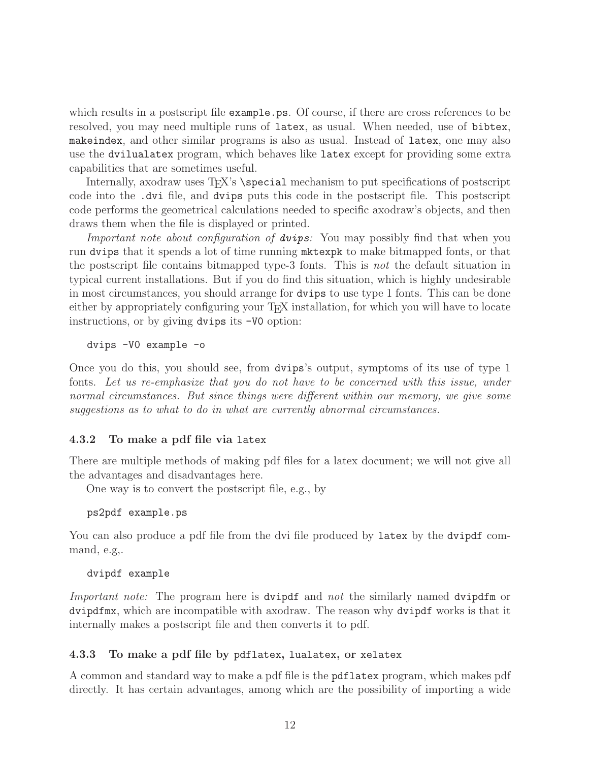which results in a postscript file example.ps. Of course, if there are cross references to be resolved, you may need multiple runs of latex, as usual. When needed, use of bibtex, makeindex, and other similar programs is also as usual. Instead of latex, one may also use the dvilualatex program, which behaves like latex except for providing some extra capabilities that are sometimes useful.

Internally, axodraw uses T<sub>EX</sub>'s \special mechanism to put specifications of postscript code into the .dvi file, and dvips puts this code in the postscript file. This postscript code performs the geometrical calculations needed to specific axodraw's objects, and then draws them when the file is displayed or printed.

Important note about configuration of **dvips**: You may possibly find that when you run dvips that it spends a lot of time running mktexpk to make bitmapped fonts, or that the postscript file contains bitmapped type-3 fonts. This is not the default situation in typical current installations. But if you do find this situation, which is highly undesirable in most circumstances, you should arrange for dvips to use type 1 fonts. This can be done either by appropriately configuring your T<sub>E</sub>X installation, for which you will have to locate instructions, or by giving dvips its -V0 option:

dvips -V0 example -o

Once you do this, you should see, from dvips's output, symptoms of its use of type 1 fonts. Let us re-emphasize that you do not have to be concerned with this issue, under normal circumstances. But since things were different within our memory, we give some suggestions as to what to do in what are currently abnormal circumstances.

### <span id="page-12-0"></span>4.3.2 To make a pdf file via latex

There are multiple methods of making pdf files for a latex document; we will not give all the advantages and disadvantages here.

One way is to convert the postscript file, e.g., by

ps2pdf example.ps

You can also produce a pdf file from the dvi file produced by latex by the dvipdf command, e.g,.

dvipdf example

Important note: The program here is dvipdf and not the similarly named dvipdfm or dvipdfmx, which are incompatible with axodraw. The reason why dvipdf works is that it internally makes a postscript file and then converts it to pdf.

#### <span id="page-12-1"></span>4.3.3 To make a pdf file by pdflatex, lualatex, or xelatex

A common and standard way to make a pdf file is the pdflatex program, which makes pdf directly. It has certain advantages, among which are the possibility of importing a wide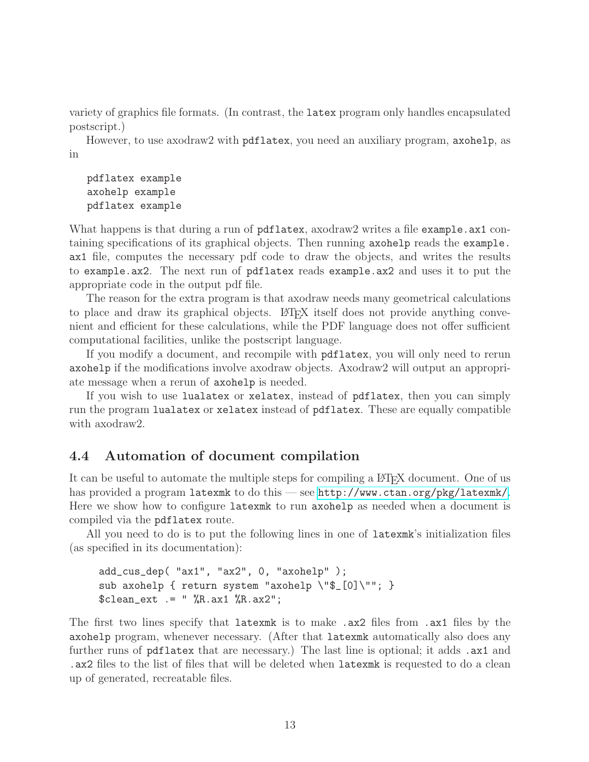variety of graphics file formats. (In contrast, the latex program only handles encapsulated postscript.)

However, to use axodraw2 with pdflatex, you need an auxiliary program, axohelp, as in

```
pdflatex example
axohelp example
pdflatex example
```
What happens is that during a run of pdflatex, axodraw2 writes a file example.ax1 containing specifications of its graphical objects. Then running axohelp reads the example. ax1 file, computes the necessary pdf code to draw the objects, and writes the results to example.ax2. The next run of pdflatex reads example.ax2 and uses it to put the appropriate code in the output pdf file.

The reason for the extra program is that axodraw needs many geometrical calculations to place and draw its graphical objects. LATEX itself does not provide anything convenient and efficient for these calculations, while the PDF language does not offer sufficient computational facilities, unlike the postscript language.

If you modify a document, and recompile with pdflatex, you will only need to rerun axohelp if the modifications involve axodraw objects. Axodraw2 will output an appropriate message when a rerun of axohelp is needed.

If you wish to use lualatex or xelatex, instead of pdflatex, then you can simply run the program lualatex or xelatex instead of pdflatex. These are equally compatible with axodraw2.

### <span id="page-13-0"></span>4.4 Automation of document compilation

It can be useful to automate the multiple steps for compiling a LATEX document. One of us has provided a program latexmk to do this — see <http://www.ctan.org/pkg/latexmk/>. Here we show how to configure latexmk to run axohelp as needed when a document is compiled via the pdflatex route.

All you need to do is to put the following lines in one of latexmk's initialization files (as specified in its documentation):

```
add_cus_dep( "ax1", "ax2", 0, "axohelp" );
sub axohelp { return system "axohelp \"$_[0]\""; }
$clean\_ext = " %R.ax1 %R.ax2";
```
The first two lines specify that latexmk is to make .ax2 files from .ax1 files by the axohelp program, whenever necessary. (After that latexmk automatically also does any further runs of pdflatex that are necessary.) The last line is optional; it adds .ax1 and .ax2 files to the list of files that will be deleted when latexmk is requested to do a clean up of generated, recreatable files.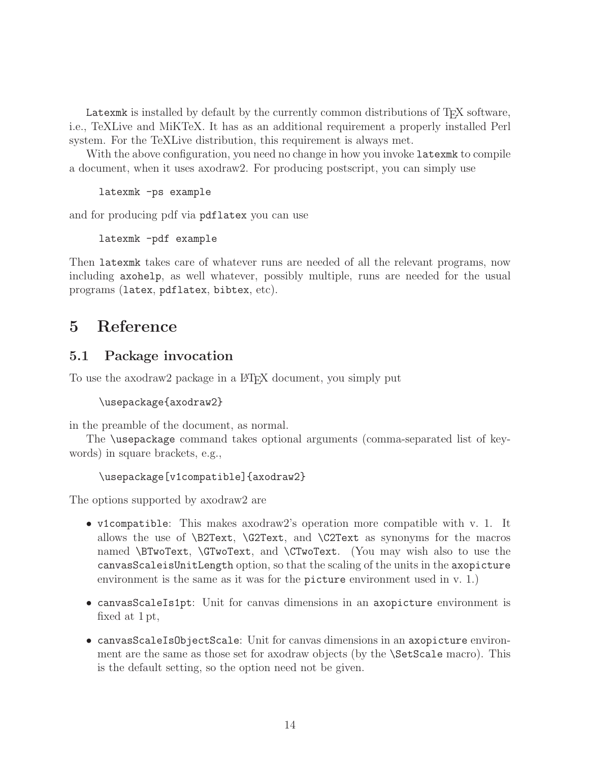Latexmuk is installed by default by the currently common distributions of T<sub>E</sub>X software, i.e., TeXLive and MiKTeX. It has as an additional requirement a properly installed Perl system. For the TeXLive distribution, this requirement is always met.

With the above configuration, you need no change in how you invoke latexmust to compile a document, when it uses axodraw2. For producing postscript, you can simply use

latexmk -ps example

and for producing pdf via pdflatex you can use

latexmk -pdf example

Then latexmk takes care of whatever runs are needed of all the relevant programs, now including axohelp, as well whatever, possibly multiple, runs are needed for the usual programs (latex, pdflatex, bibtex, etc).

# <span id="page-14-0"></span>5 Reference

### <span id="page-14-1"></span>5.1 Package invocation

To use the axodraw<sub>2</sub> package in a L<sup>AT</sup>EX document, you simply put

```
\usepackage{axodraw2}
```
in the preamble of the document, as normal.

The \usepackage command takes optional arguments (comma-separated list of keywords) in square brackets, e.g.,

```
\usepackage[v1compatible]{axodraw2}
```
The options supported by axodraw2 are

- v1compatible: This makes axodraw2's operation more compatible with v. 1. It allows the use of  $\B{C2Text}$ ,  $\C{2Text}$  and  $\C{2Text}$  as synonyms for the macros named \BTwoText, \GTwoText, and \CTwoText. (You may wish also to use the canvasScaleisUnitLength option, so that the scaling of the units in the axopicture environment is the same as it was for the picture environment used in v. 1.)
- canvasScaleIs1pt: Unit for canvas dimensions in an axopicture environment is fixed at 1 pt,
- canvasScaleIsObjectScale: Unit for canvas dimensions in an axopicture environment are the same as those set for axodraw objects (by the \SetScale macro). This is the default setting, so the option need not be given.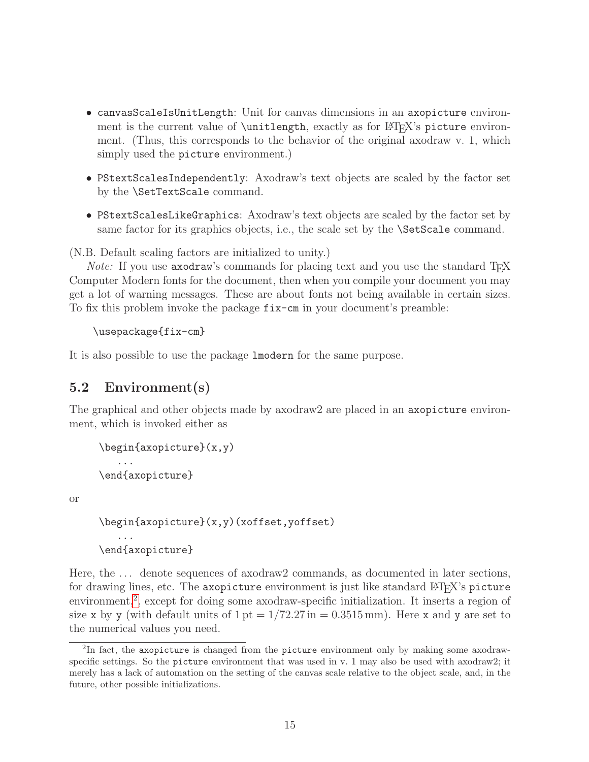- canvasScaleIsUnitLength: Unit for canvas dimensions in an axopicture environment is the current value of \unitlength, exactly as for LATEX's picture environment. (Thus, this corresponds to the behavior of the original axodraw v. 1, which simply used the picture environment.)
- PStextScalesIndependently: Axodraw's text objects are scaled by the factor set by the \SetTextScale command.
- PStextScalesLikeGraphics: Axodraw's text objects are scaled by the factor set by same factor for its graphics objects, i.e., the scale set by the **\SetScale** command.

(N.B. Default scaling factors are initialized to unity.)

Note: If you use axodraw's commands for placing text and you use the standard TFX Computer Modern fonts for the document, then when you compile your document you may get a lot of warning messages. These are about fonts not being available in certain sizes. To fix this problem invoke the package fix-cm in your document's preamble:

```
\usepackage{fix-cm}
```
It is also possible to use the package lmodern for the same purpose.

### <span id="page-15-0"></span>5.2 Environment(s)

The graphical and other objects made by axodraw2 are placed in an axopicture environment, which is invoked either as

```
\begin{axopicture}(x,y)
   ...
\end{axopicture}
```
or

```
\begin{axopicture}(x,y)(xoffset,yoffset)
   ...
\end{axopicture}
```
Here, the ... denote sequences of axodraw2 commands, as documented in later sections, for drawing lines, etc. The axopicture environment is just like standard  $L^2T_FX$ 's picture environment,<sup>[2](#page-15-1)</sup>, except for doing some axodraw-specific initialization. It inserts a region of size x by y (with default units of  $1 \text{ pt} = 1/72.27 \text{ in} = 0.3515 \text{ mm}$ ). Here x and y are set to the numerical values you need.

<span id="page-15-1"></span> ${}^{2}\text{In}$  fact, the axopicture is changed from the picture environment only by making some axodrawspecific settings. So the picture environment that was used in v. 1 may also be used with axodraw2; it merely has a lack of automation on the setting of the canvas scale relative to the object scale, and, in the future, other possible initializations.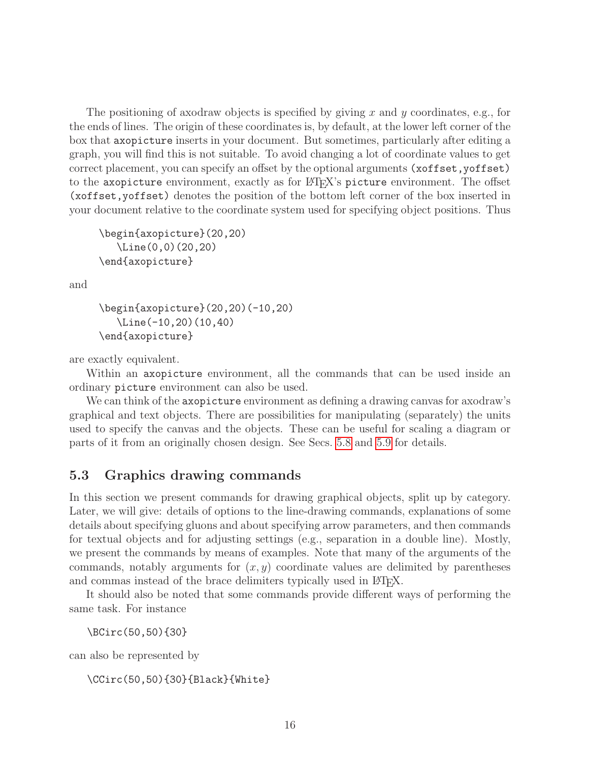The positioning of axodraw objects is specified by giving x and y coordinates, e.g., for the ends of lines. The origin of these coordinates is, by default, at the lower left corner of the box that axopicture inserts in your document. But sometimes, particularly after editing a graph, you will find this is not suitable. To avoid changing a lot of coordinate values to get correct placement, you can specify an offset by the optional arguments (xoffset, yoffset) to the axopicture environment, exactly as for LATEX's picture environment. The offset (xoffset,yoffset) denotes the position of the bottom left corner of the box inserted in your document relative to the coordinate system used for specifying object positions. Thus

```
\begin{axopicture}(20,20)
   \Line(0,0)(20,20)
\end{axopicture}
```
and

```
\begin{axopicture}(20,20)(-10,20)
   \Line(-10,20)(10,40)
\end{axopicture}
```
are exactly equivalent.

Within an axopicture environment, all the commands that can be used inside an ordinary picture environment can also be used.

We can think of the axopicture environment as defining a drawing canvas for axodraw's graphical and text objects. There are possibilities for manipulating (separately) the units used to specify the canvas and the objects. These can be useful for scaling a diagram or parts of it from an originally chosen design. See Secs. [5.8](#page-45-0) and [5.9](#page-48-0) for details.

# <span id="page-16-0"></span>5.3 Graphics drawing commands

In this section we present commands for drawing graphical objects, split up by category. Later, we will give: details of options to the line-drawing commands, explanations of some details about specifying gluons and about specifying arrow parameters, and then commands for textual objects and for adjusting settings (e.g., separation in a double line). Mostly, we present the commands by means of examples. Note that many of the arguments of the commands, notably arguments for  $(x, y)$  coordinate values are delimited by parentheses and commas instead of the brace delimiters typically used in  $\text{LipX}.$ 

It should also be noted that some commands provide different ways of performing the same task. For instance

\BCirc(50,50){30}

can also be represented by

\CCirc(50,50){30}{Black}{White}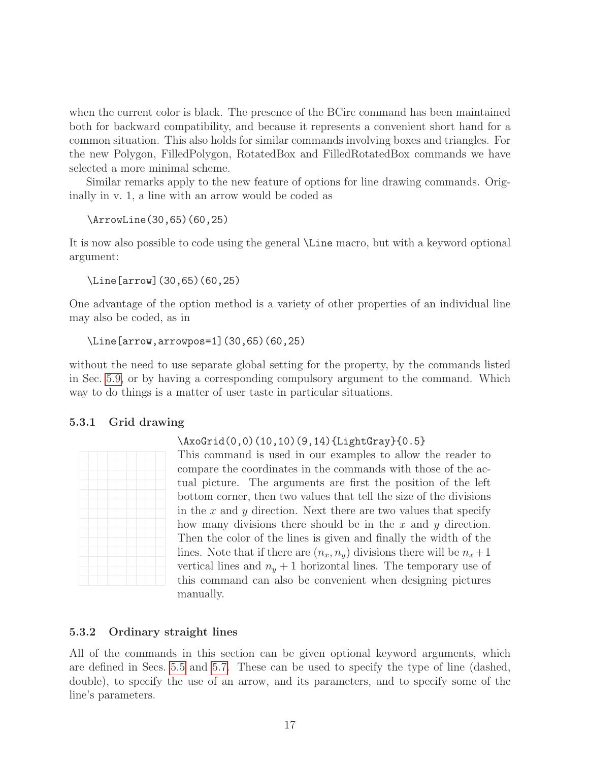when the current color is black. The presence of the BCirc command has been maintained both for backward compatibility, and because it represents a convenient short hand for a common situation. This also holds for similar commands involving boxes and triangles. For the new Polygon, FilledPolygon, RotatedBox and FilledRotatedBox commands we have selected a more minimal scheme.

Similar remarks apply to the new feature of options for line drawing commands. Originally in v. 1, a line with an arrow would be coded as

```
\ArrowLine(30,65)(60,25)
```
It is now also possible to code using the general \Line macro, but with a keyword optional argument:

```
\Line[arrow](30,65)(60,25)
```
One advantage of the option method is a variety of other properties of an individual line may also be coded, as in

```
\Line[arrow,arrowpos=1](30,65)(60,25)
```
without the need to use separate global setting for the property, by the commands listed in Sec. [5.9,](#page-48-0) or by having a corresponding compulsory argument to the command. Which way to do things is a matter of user taste in particular situations.

### <span id="page-17-0"></span>5.3.1 Grid drawing

### \AxoGrid(0,0)(10,10)(9,14){LightGray}{0.5}



This command is used in our examples to allow the reader to compare the coordinates in the commands with those of the actual picture. The arguments are first the position of the left bottom corner, then two values that tell the size of the divisions in the  $x$  and  $y$  direction. Next there are two values that specify how many divisions there should be in the x and  $y$  direction. Then the color of the lines is given and finally the width of the lines. Note that if there are  $(n_x, n_y)$  divisions there will be  $n_x+1$ vertical lines and  $n_y + 1$  horizontal lines. The temporary use of this command can also be convenient when designing pictures manually.

### <span id="page-17-1"></span>5.3.2 Ordinary straight lines

All of the commands in this section can be given optional keyword arguments, which are defined in Secs. [5.5](#page-36-0) and [5.7.](#page-40-0) These can be used to specify the type of line (dashed, double), to specify the use of an arrow, and its parameters, and to specify some of the line's parameters.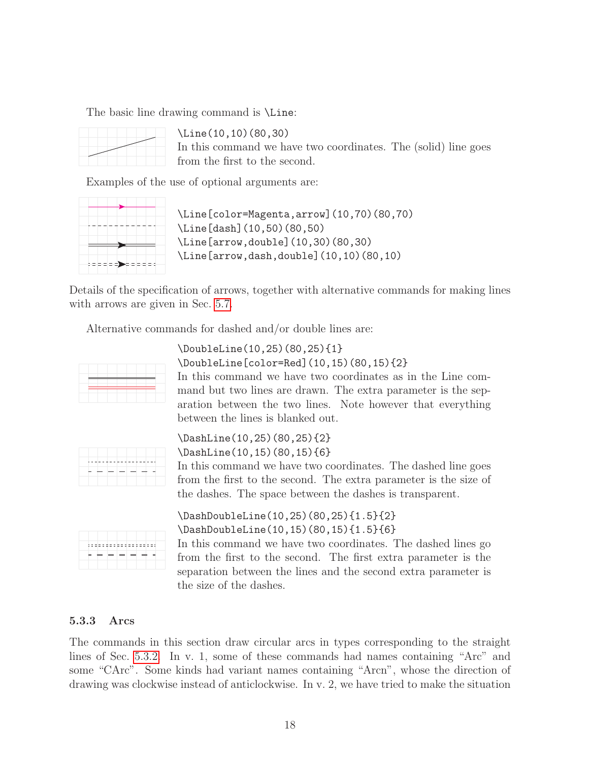The basic line drawing command is \Line:



\Line(10,10)(80,30) In this command we have two coordinates. The (solid) line goes from the first to the second.

Examples of the use of optional arguments are:



\Line[color=Magenta,arrow](10,70)(80,70) \Line[dash](10,50)(80,50) \Line[arrow,double](10,30)(80,30) \Line[arrow,dash,double](10,10)(80,10)

Details of the specification of arrows, together with alternative commands for making lines with arrows are given in Sec.  $5.7$ .

Alternative commands for dashed and/or double lines are:



\DoubleLine(10,25)(80,25){1} \DoubleLine[color=Red](10,15)(80,15){2} In this command we have two coordinates as in the Line command but two lines are drawn. The extra parameter is the separation between the two lines. Note however that everything between the lines is blanked out.



\DashLine(10,25)(80,25){2} \DashLine(10,15)(80,15){6}

In this command we have two coordinates. The dashed line goes from the first to the second. The extra parameter is the size of the dashes. The space between the dashes is transparent.



\DashDoubleLine(10,25)(80,25){1.5}{2} \DashDoubleLine(10,15)(80,15){1.5}{6}

In this command we have two coordinates. The dashed lines go from the first to the second. The first extra parameter is the separation between the lines and the second extra parameter is the size of the dashes.

### <span id="page-18-0"></span>5.3.3 Arcs

The commands in this section draw circular arcs in types corresponding to the straight lines of Sec. [5.3.2.](#page-17-1) In v. 1, some of these commands had names containing "Arc" and some "CArc". Some kinds had variant names containing "Arcn", whose the direction of drawing was clockwise instead of anticlockwise. In v. 2, we have tried to make the situation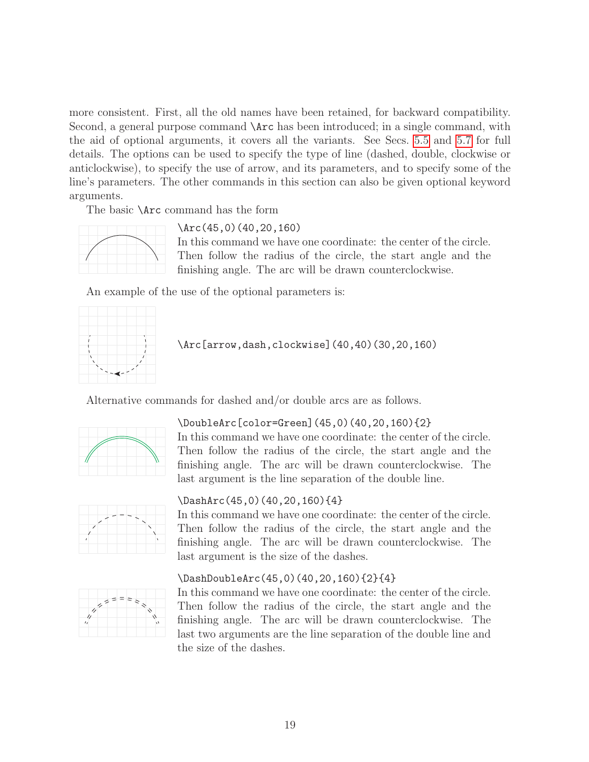more consistent. First, all the old names have been retained, for backward compatibility. Second, a general purpose command  $\text{arc}$  has been introduced; in a single command, with the aid of optional arguments, it covers all the variants. See Secs. [5.5](#page-36-0) and [5.7](#page-40-0) for full details. The options can be used to specify the type of line (dashed, double, clockwise or anticlockwise), to specify the use of arrow, and its parameters, and to specify some of the line's parameters. The other commands in this section can also be given optional keyword arguments.

The basic \Arc command has the form



\Arc(45,0)(40,20,160)

In this command we have one coordinate: the center of the circle. Then follow the radius of the circle, the start angle and the finishing angle. The arc will be drawn counterclockwise.

An example of the use of the optional parameters is:



\Arc[arrow,dash,clockwise](40,40)(30,20,160)

Alternative commands for dashed and/or double arcs are as follows.



#### \DoubleArc[color=Green](45,0)(40,20,160){2}

In this command we have one coordinate: the center of the circle. Then follow the radius of the circle, the start angle and the finishing angle. The arc will be drawn counterclockwise. The last argument is the line separation of the double line.



#### \DashArc(45,0)(40,20,160){4}

In this command we have one coordinate: the center of the circle. Then follow the radius of the circle, the start angle and the finishing angle. The arc will be drawn counterclockwise. The last argument is the size of the dashes.

#### \DashDoubleArc(45,0)(40,20,160){2}{4}



In this command we have one coordinate: the center of the circle. Then follow the radius of the circle, the start angle and the finishing angle. The arc will be drawn counterclockwise. The last two arguments are the line separation of the double line and the size of the dashes.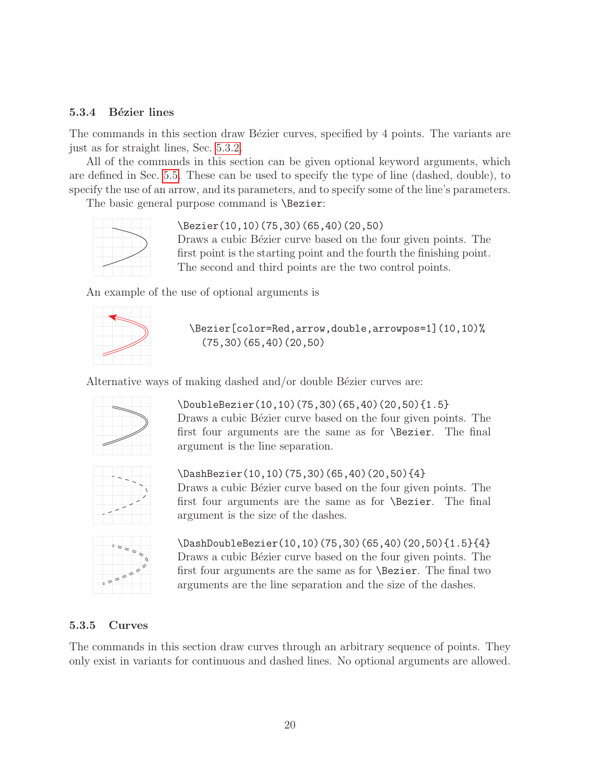#### <span id="page-20-0"></span>5.3.4 Bézier lines

The commands in this section draw Bézier curves, specified by 4 points. The variants are just as for straight lines, Sec. [5.3.2.](#page-17-1)

All of the commands in this section can be given optional keyword arguments, which are defined in Sec. [5.5.](#page-36-0) These can be used to specify the type of line (dashed, double), to specify the use of an arrow, and its parameters, and to specify some of the line's parameters.

The basic general purpose command is **\Bezier**:



\Bezier(10,10)(75,30)(65,40)(20,50)

Draws a cubic Bézier curve based on the four given points. The first point is the starting point and the fourth the finishing point. The second and third points are the two control points.

An example of the use of optional arguments is



\Bezier[color=Red,arrow,double,arrowpos=1](10,10)% (75,30)(65,40)(20,50)

Alternative ways of making dashed and/or double Bézier curves are:



\DoubleBezier(10,10)(75,30)(65,40)(20,50){1.5} Draws a cubic Bézier curve based on the four given points. The first four arguments are the same as for \Bezier. The final argument is the line separation.



\DashBezier(10,10)(75,30)(65,40)(20,50){4} Draws a cubic Bézier curve based on the four given points. The first four arguments are the same as for \Bezier. The final argument is the size of the dashes.



\DashDoubleBezier(10,10)(75,30)(65,40)(20,50){1.5}{4} Draws a cubic Bézier curve based on the four given points. The first four arguments are the same as for \Bezier. The final two arguments are the line separation and the size of the dashes.

#### <span id="page-20-1"></span>5.3.5 Curves

The commands in this section draw curves through an arbitrary sequence of points. They only exist in variants for continuous and dashed lines. No optional arguments are allowed.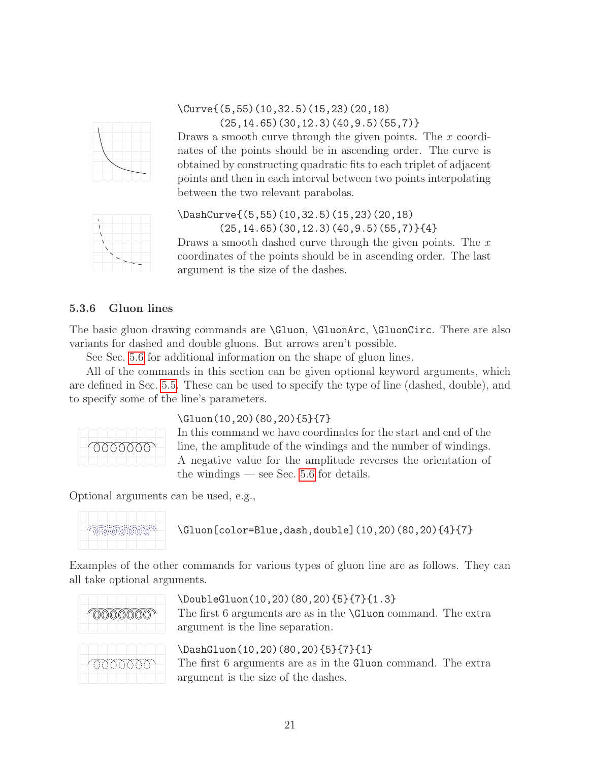

### \Curve{(5,55)(10,32.5)(15,23)(20,18)  $(25, 14.65)(30, 12.3)(40, 9.5)(55, 7)$

Draws a smooth curve through the given points. The x coordinates of the points should be in ascending order. The curve is obtained by constructing quadratic fits to each triplet of adjacent points and then in each interval between two points interpolating between the two relevant parabolas.



### \DashCurve{(5,55)(10,32.5)(15,23)(20,18)  $(25, 14.65)(30, 12.3)(40, 9.5)(55, 7)$ {4}

Draws a smooth dashed curve through the given points. The  $x$ coordinates of the points should be in ascending order. The last argument is the size of the dashes.

### <span id="page-21-0"></span>5.3.6 Gluon lines

The basic gluon drawing commands are  $Gluon, \GluonArc, \GluonCirc.$  There are also variants for dashed and double gluons. But arrows aren't possible.

See Sec. [5.6](#page-38-0) for additional information on the shape of gluon lines.

All of the commands in this section can be given optional keyword arguments, which are defined in Sec. [5.5.](#page-36-0) These can be used to specify the type of line (dashed, double), and to specify some of the line's parameters.



### \Gluon(10,20)(80,20){5}{7}

In this command we have coordinates for the start and end of the line, the amplitude of the windings and the number of windings. A negative value for the amplitude reverses the orientation of the windings — see Sec. [5.6](#page-38-0) for details.

Optional arguments can be used, e.g.,



\Gluon[color=Blue,dash,double](10,20)(80,20){4}{7}

Examples of the other commands for various types of gluon line are as follows. They can all take optional arguments.



### \DoubleGluon(10,20)(80,20){5}{7}{1.3}

The first 6 arguments are as in the \Gluon command. The extra argument is the line separation.

\DashGluon(10,20)(80,20){5}{7}{1} The first 6 arguments are as in the Gluon command. The extra argument is the size of the dashes.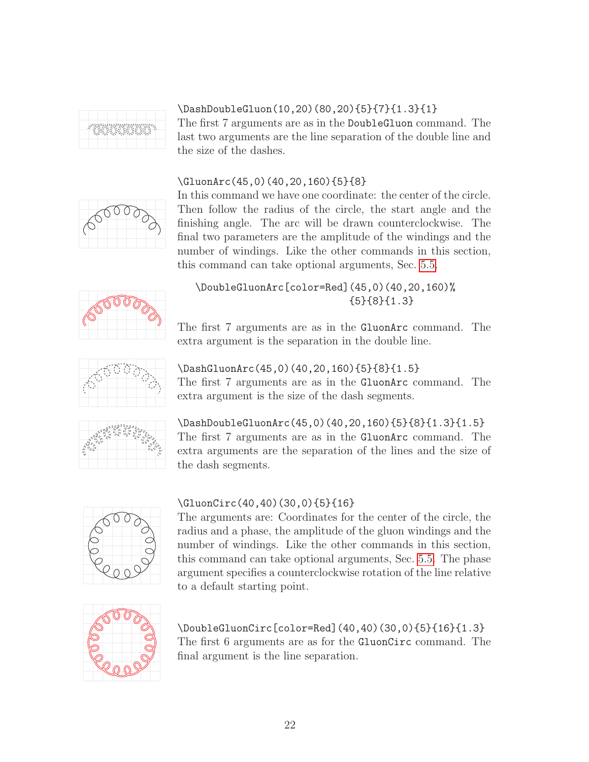

# \DashDoubleGluon(10,20)(80,20){5}{7}{1.3}{1}

The first 7 arguments are as in the DoubleGluon command. The last two arguments are the line separation of the double line and the size of the dashes.

### \GluonArc(45,0)(40,20,160){5}{8}



In this command we have one coordinate: the center of the circle. Then follow the radius of the circle, the start angle and the finishing angle. The arc will be drawn counterclockwise. The final two parameters are the amplitude of the windings and the number of windings. Like the other commands in this section, this command can take optional arguments, Sec. [5.5.](#page-36-0)



### \DoubleGluonArc[color=Red](45,0)(40,20,160)% {5}{8}{1.3}

The first 7 arguments are as in the GluonArc command. The extra argument is the separation in the double line.



### \DashGluonArc(45,0)(40,20,160){5}{8}{1.5}

The first 7 arguments are as in the GluonArc command. The extra argument is the size of the dash segments.



\DashDoubleGluonArc(45,0)(40,20,160){5}{8}{1.3}{1.5} The first 7 arguments are as in the GluonArc command. The extra arguments are the separation of the lines and the size of the dash segments.



### \GluonCirc(40,40)(30,0){5}{16}

The arguments are: Coordinates for the center of the circle, the radius and a phase, the amplitude of the gluon windings and the number of windings. Like the other commands in this section, this command can take optional arguments, Sec. [5.5.](#page-36-0) The phase argument specifies a counterclockwise rotation of the line relative to a default starting point.



\DoubleGluonCirc[color=Red](40,40)(30,0){5}{16}{1.3} The first 6 arguments are as for the GluonCirc command. The final argument is the line separation.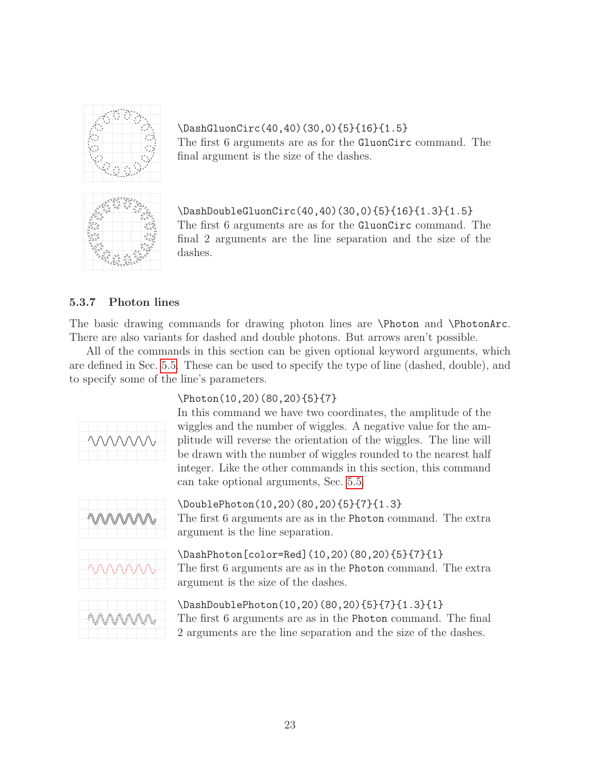

\DashGluonCirc(40,40)(30,0){5}{16}{1.5} The first 6 arguments are as for the GluonCirc command. The final argument is the size of the dashes.



\DashDoubleGluonCirc(40,40)(30,0){5}{16}{1.3}{1.5} The first 6 arguments are as for the GluonCirc command. The final 2 arguments are the line separation and the size of the dashes.

### <span id="page-23-0"></span>5.3.7 Photon lines

The basic drawing commands for drawing photon lines are \Photon and \PhotonArc. There are also variants for dashed and double photons. But arrows aren't possible.

All of the commands in this section can be given optional keyword arguments, which are defined in Sec. [5.5.](#page-36-0) These can be used to specify the type of line (dashed, double), and to specify some of the line's parameters.



### \Photon(10,20)(80,20){5}{7}

In this command we have two coordinates, the amplitude of the wiggles and the number of wiggles. A negative value for the amplitude will reverse the orientation of the wiggles. The line will be drawn with the number of wiggles rounded to the nearest half integer. Like the other commands in this section, this command can take optional arguments, Sec. [5.5.](#page-36-0)



\DoublePhoton(10,20)(80,20){5}{7}{1.3} The first 6 arguments are as in the Photon command. The extra argument is the line separation.



\DashPhoton[color=Red](10,20)(80,20){5}{7}{1} The first 6 arguments are as in the Photon command. The extra argument is the size of the dashes.



\DashDoublePhoton(10,20)(80,20){5}{7}{1.3}{1} The first 6 arguments are as in the Photon command. The final 2 arguments are the line separation and the size of the dashes.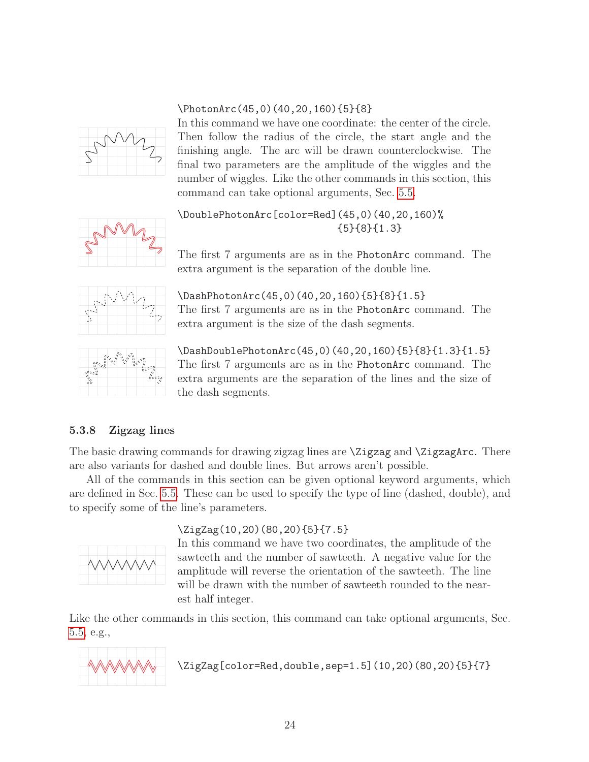### \PhotonArc(45,0)(40,20,160){5}{8}



In this command we have one coordinate: the center of the circle. Then follow the radius of the circle, the start angle and the finishing angle. The arc will be drawn counterclockwise. The final two parameters are the amplitude of the wiggles and the number of wiggles. Like the other commands in this section, this command can take optional arguments, Sec. [5.5.](#page-36-0)



\DoublePhotonArc[color=Red](45,0)(40,20,160)% {5}{8}{1.3}

The first 7 arguments are as in the PhotonArc command. The extra argument is the separation of the double line.



\DashPhotonArc(45,0)(40,20,160){5}{8}{1.5} The first 7 arguments are as in the PhotonArc command. The extra argument is the size of the dash segments.



\DashDoublePhotonArc(45,0)(40,20,160){5}{8}{1.3}{1.5} The first 7 arguments are as in the PhotonArc command. The extra arguments are the separation of the lines and the size of the dash segments.

### <span id="page-24-0"></span>5.3.8 Zigzag lines

The basic drawing commands for drawing zigzag lines are \Zigzag and \ZigzagArc. There are also variants for dashed and double lines. But arrows aren't possible.

All of the commands in this section can be given optional keyword arguments, which are defined in Sec. [5.5.](#page-36-0) These can be used to specify the type of line (dashed, double), and to specify some of the line's parameters.



### \ZigZag(10,20)(80,20){5}{7.5}

In this command we have two coordinates, the amplitude of the sawteeth and the number of sawteeth. A negative value for the amplitude will reverse the orientation of the sawteeth. The line will be drawn with the number of sawteeth rounded to the nearest half integer.

Like the other commands in this section, this command can take optional arguments, Sec. [5.5,](#page-36-0) e.g.,



\ZigZag[color=Red,double,sep=1.5](10,20)(80,20){5}{7}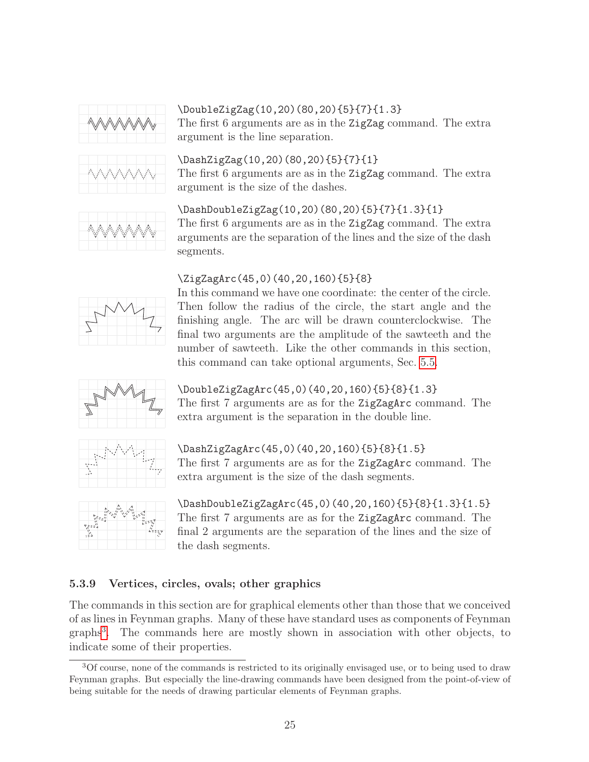





The first 6 arguments are as in the ZigZag command. The extra argument is the line separation.

\DashZigZag(10,20)(80,20){5}{7}{1} The first 6 arguments are as in the ZigZag command. The extra argument is the size of the dashes.



### \DashDoubleZigZag(10,20)(80,20){5}{7}{1.3}{1}

The first 6 arguments are as in the ZigZag command. The extra arguments are the separation of the lines and the size of the dash segments.

### \ZigZagArc(45,0)(40,20,160){5}{8}



In this command we have one coordinate: the center of the circle. Then follow the radius of the circle, the start angle and the finishing angle. The arc will be drawn counterclockwise. The final two arguments are the amplitude of the sawteeth and the number of sawteeth. Like the other commands in this section, this command can take optional arguments, Sec. [5.5.](#page-36-0)



\DoubleZigZagArc(45,0)(40,20,160){5}{8}{1.3} The first 7 arguments are as for the ZigZagArc command. The



### \DashZigZagArc(45,0)(40,20,160){5}{8}{1.5}

extra argument is the separation in the double line.

The first 7 arguments are as for the ZigZagArc command. The extra argument is the size of the dash segments.



\DashDoubleZigZagArc(45,0)(40,20,160){5}{8}{1.3}{1.5} The first 7 arguments are as for the ZigZagArc command. The final 2 arguments are the separation of the lines and the size of the dash segments.

### <span id="page-25-0"></span>5.3.9 Vertices, circles, ovals; other graphics

The commands in this section are for graphical elements other than those that we conceived of as lines in Feynman graphs. Many of these have standard uses as components of Feynman graphs[3](#page-25-1) . The commands here are mostly shown in association with other objects, to indicate some of their properties.

<span id="page-25-1"></span><sup>3</sup>Of course, none of the commands is restricted to its originally envisaged use, or to being used to draw Feynman graphs. But especially the line-drawing commands have been designed from the point-of-view of being suitable for the needs of drawing particular elements of Feynman graphs.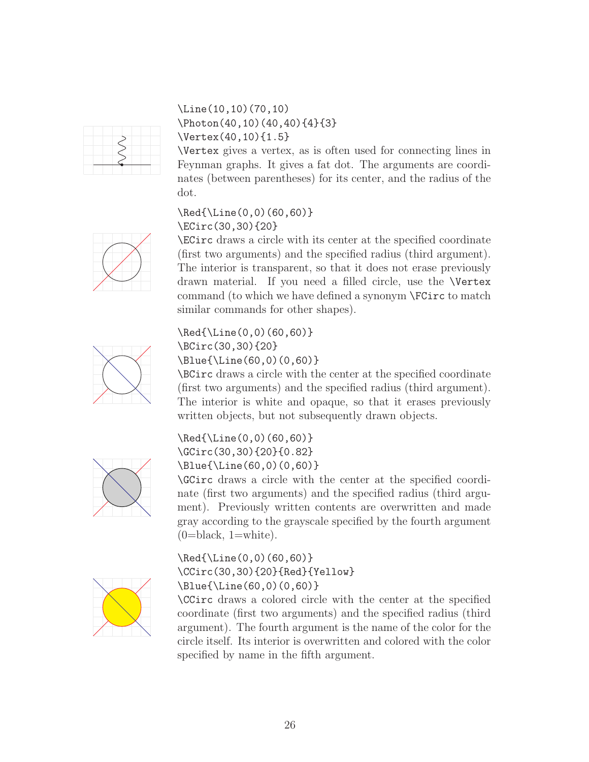

### \Line(10,10)(70,10) \Photon(40,10)(40,40){4}{3} \Vertex(40,10){1.5}

\Vertex gives a vertex, as is often used for connecting lines in Feynman graphs. It gives a fat dot. The arguments are coordinates (between parentheses) for its center, and the radius of the dot.

### \Red{\Line(0,0)(60,60)} \ECirc(30,30){20}

\ECirc draws a circle with its center at the specified coordinate (first two arguments) and the specified radius (third argument). The interior is transparent, so that it does not erase previously drawn material. If you need a filled circle, use the \Vertex command (to which we have defined a synonym \FCirc to match similar commands for other shapes).



# \Red{\Line(0,0)(60,60)} \BCirc(30,30){20}

\Blue{\Line(60,0)(0,60)}

\BCirc draws a circle with the center at the specified coordinate (first two arguments) and the specified radius (third argument). The interior is white and opaque, so that it erases previously written objects, but not subsequently drawn objects.



\Red{\Line(0,0)(60,60)} \GCirc(30,30){20}{0.82} \Blue{\Line(60,0)(0,60)}

\GCirc draws a circle with the center at the specified coordinate (first two arguments) and the specified radius (third argument). Previously written contents are overwritten and made gray according to the grayscale specified by the fourth argument  $(0=black, 1=white).$ 



\Red{\Line(0,0)(60,60)} \CCirc(30,30){20}{Red}{Yellow} \Blue{\Line(60,0)(0,60)}

\CCirc draws a colored circle with the center at the specified coordinate (first two arguments) and the specified radius (third argument). The fourth argument is the name of the color for the circle itself. Its interior is overwritten and colored with the color specified by name in the fifth argument.

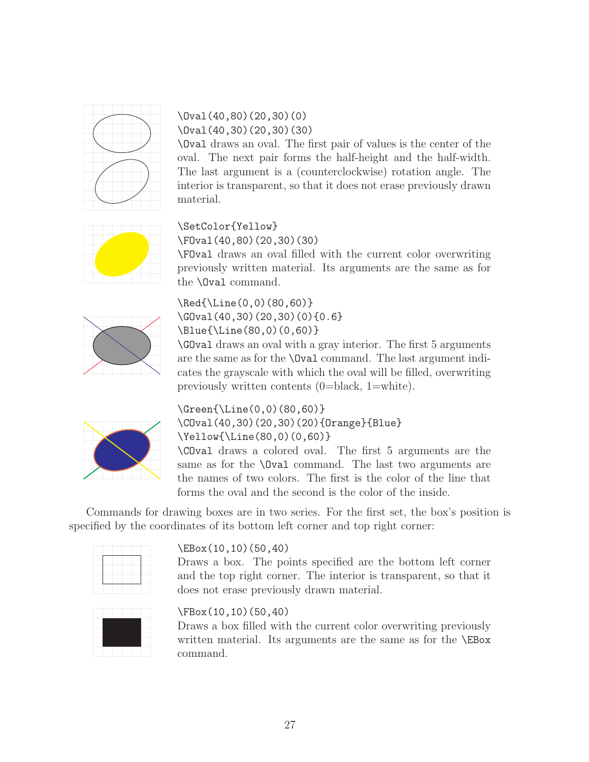

### \Oval(40,80)(20,30)(0) \Oval(40,30)(20,30)(30)

\Oval draws an oval. The first pair of values is the center of the oval. The next pair forms the half-height and the half-width. The last argument is a (counterclockwise) rotation angle. The interior is transparent, so that it does not erase previously drawn material.

# \SetColor{Yellow}

\FOval(40,80)(20,30)(30)

\FOval draws an oval filled with the current color overwriting previously written material. Its arguments are the same as for the \Oval command.



\Red{\Line(0,0)(80,60)} \GOval(40,30)(20,30)(0){0.6} \Blue{\Line(80,0)(0,60)}

\GOval draws an oval with a gray interior. The first 5 arguments are the same as for the \Oval command. The last argument indicates the grayscale with which the oval will be filled, overwriting previously written contents (0=black, 1=white).



\Green{\Line(0,0)(80,60)} \COval(40,30)(20,30)(20){Orange}{Blue} \Yellow{\Line(80,0)(0,60)} \COval draws a colored oval. The first 5 arguments are the

same as for the **\Oval** command. The last two arguments are the names of two colors. The first is the color of the line that forms the oval and the second is the color of the inside.

Commands for drawing boxes are in two series. For the first set, the box's position is specified by the coordinates of its bottom left corner and top right corner:

### \EBox(10,10)(50,40)

Draws a box. The points specified are the bottom left corner and the top right corner. The interior is transparent, so that it does not erase previously drawn material.



### \FBox(10,10)(50,40)

Draws a box filled with the current color overwriting previously written material. Its arguments are the same as for the \EBox command.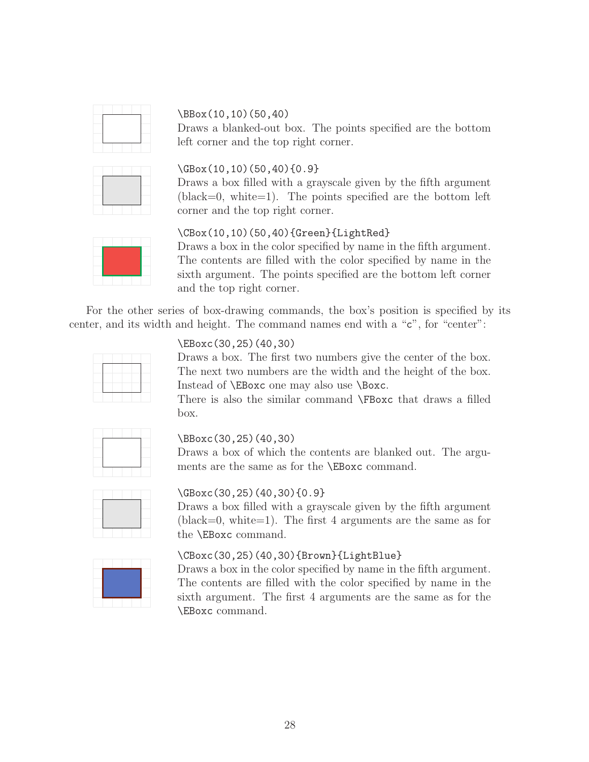

### \BBox(10,10)(50,40)

Draws a blanked-out box. The points specified are the bottom left corner and the top right corner.



### \GBox(10,10)(50,40){0.9}

Draws a box filled with a grayscale given by the fifth argument  $(black=0, white=1).$  The points specified are the bottom left corner and the top right corner.



### \CBox(10,10)(50,40){Green}{LightRed}

Draws a box in the color specified by name in the fifth argument. The contents are filled with the color specified by name in the sixth argument. The points specified are the bottom left corner and the top right corner.

For the other series of box-drawing commands, the box's position is specified by its center, and its width and height. The command names end with a "c", for "center":



### \EBoxc(30,25)(40,30)

Draws a box. The first two numbers give the center of the box. The next two numbers are the width and the height of the box. Instead of \EBoxc one may also use \Boxc.

There is also the similar command \FBoxc that draws a filled box.



#### \BBoxc(30,25)(40,30)

Draws a box of which the contents are blanked out. The arguments are the same as for the \EBoxc command.



### \GBoxc(30,25)(40,30){0.9}

Draws a box filled with a grayscale given by the fifth argument  $(black=0, white=1).$  The first 4 arguments are the same as for the \EBoxc command.



### \CBoxc(30,25)(40,30){Brown}{LightBlue}

Draws a box in the color specified by name in the fifth argument. The contents are filled with the color specified by name in the sixth argument. The first 4 arguments are the same as for the \EBoxc command.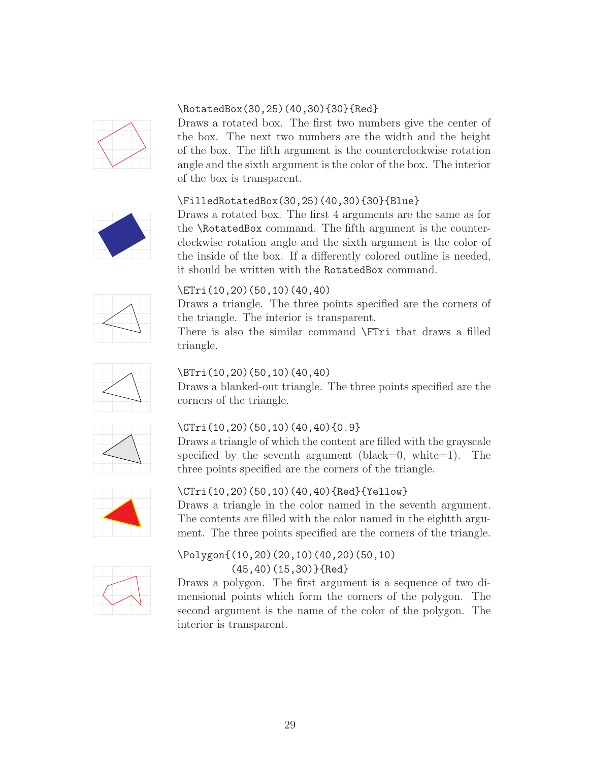

### \RotatedBox(30,25)(40,30){30}{Red}

Draws a rotated box. The first two numbers give the center of the box. The next two numbers are the width and the height of the box. The fifth argument is the counterclockwise rotation angle and the sixth argument is the color of the box. The interior of the box is transparent.

### \FilledRotatedBox(30,25)(40,30){30}{Blue}



Draws a rotated box. The first 4 arguments are the same as for the \RotatedBox command. The fifth argument is the counterclockwise rotation angle and the sixth argument is the color of the inside of the box. If a differently colored outline is needed, it should be written with the RotatedBox command.



### \ETri(10,20)(50,10)(40,40)

Draws a triangle. The three points specified are the corners of the triangle. The interior is transparent.

There is also the similar command \FTri that draws a filled triangle.



### \BTri(10,20)(50,10)(40,40)

Draws a blanked-out triangle. The three points specified are the corners of the triangle.



### \GTri(10,20)(50,10)(40,40){0.9}

Draws a triangle of which the content are filled with the grayscale specified by the seventh argument (black=0, white=1). The three points specified are the corners of the triangle.



### \CTri(10,20)(50,10)(40,40){Red}{Yellow}

Draws a triangle in the color named in the seventh argument. The contents are filled with the color named in the eightth argument. The three points specified are the corners of the triangle.



### \Polygon{(10,20)(20,10)(40,20)(50,10) (45,40)(15,30)}{Red}

Draws a polygon. The first argument is a sequence of two dimensional points which form the corners of the polygon. The second argument is the name of the color of the polygon. The interior is transparent.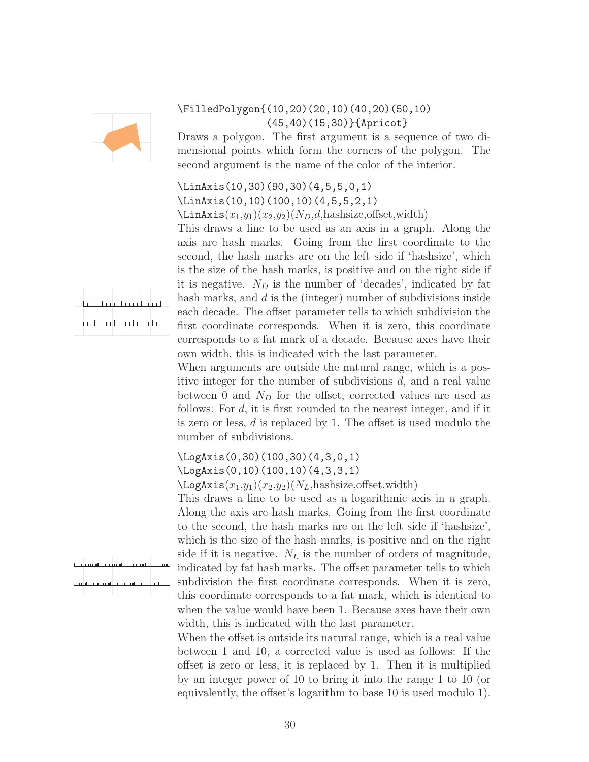

### \FilledPolygon{(10,20)(20,10)(40,20)(50,10) (45,40)(15,30)}{Apricot}

Draws a polygon. The first argument is a sequence of two dimensional points which form the corners of the polygon. The second argument is the name of the color of the interior.

# \LinAxis(10,30)(90,30)(4,5,5,0,1)

\LinAxis(10,10)(100,10)(4,5,5,2,1)  $\Delta$ inAxis $(x_1,y_1)(x_2,y_2)(N_D,d,$ hashsize,offset,width)

This draws a line to be used as an axis in a graph. Along the axis are hash marks. Going from the first coordinate to the second, the hash marks are on the left side if 'hashsize', which is the size of the hash marks, is positive and on the right side if it is negative.  $N_D$  is the number of 'decades', indicated by fat hash marks, and d is the (integer) number of subdivisions inside each decade. The offset parameter tells to which subdivision the first coordinate corresponds. When it is zero, this coordinate corresponds to a fat mark of a decade. Because axes have their own width, this is indicated with the last parameter.

When arguments are outside the natural range, which is a positive integer for the number of subdivisions d, and a real value between 0 and  $N_D$  for the offset, corrected values are used as follows: For d, it is first rounded to the nearest integer, and if it is zero or less, d is replaced by 1. The offset is used modulo the number of subdivisions.

### \LogAxis(0,30)(100,30)(4,3,0,1) \LogAxis(0,10)(100,10)(4,3,3,1)  $\text{LogAxis}(x_1,y_1)(x_2,y_2)(N_L, \text{hashsize}, \text{offset}, \text{width})$

This draws a line to be used as a logarithmic axis in a graph. Along the axis are hash marks. Going from the first coordinate to the second, the hash marks are on the left side if 'hashsize', which is the size of the hash marks, is positive and on the right side if it is negative.  $N_L$  is the number of orders of magnitude, indicated by fat hash marks. The offset parameter tells to which subdivision the first coordinate corresponds. When it is zero, this coordinate corresponds to a fat mark, which is identical to when the value would have been 1. Because axes have their own width, this is indicated with the last parameter.

When the offset is outside its natural range, which is a real value between 1 and 10, a corrected value is used as follows: If the offset is zero or less, it is replaced by 1. Then it is multiplied by an integer power of 10 to bring it into the range 1 to 10 (or equivalently, the offset's logarithm to base 10 is used modulo 1).

|  |  |  | <u>La introimhmhachad</u> |
|--|--|--|---------------------------|
|  |  |  | نطلب نطلب نطلب نطيب       |

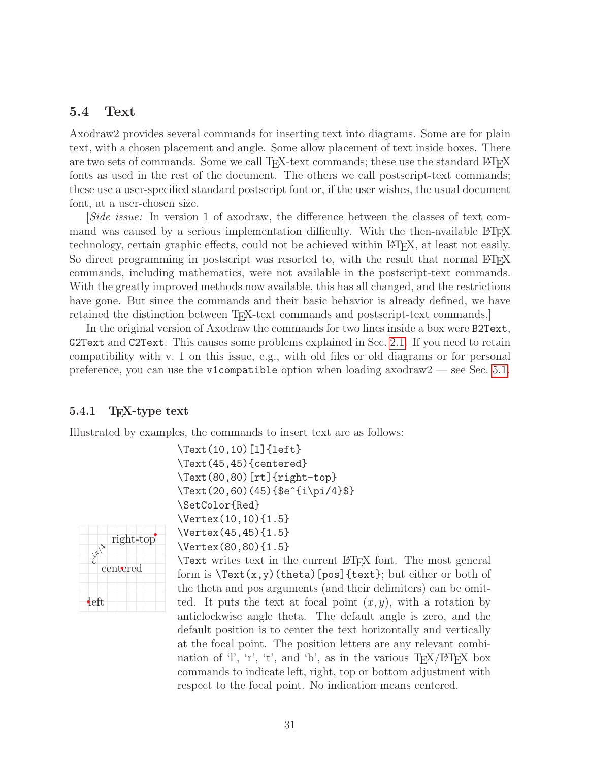### <span id="page-31-0"></span>5.4 Text

Axodraw2 provides several commands for inserting text into diagrams. Some are for plain text, with a chosen placement and angle. Some allow placement of text inside boxes. There are two sets of commands. Some we call T<sub>EX</sub>-text commands; these use the standard L<sup>AT</sup>E<sub>X</sub> fonts as used in the rest of the document. The others we call postscript-text commands; these use a user-specified standard postscript font or, if the user wishes, the usual document font, at a user-chosen size.

[Side issue: In version 1 of axodraw, the difference between the classes of text command was caused by a serious implementation difficulty. With the then-available  $\text{LFT}$ <sub>E</sub>X technology, certain graphic effects, could not be achieved within LATEX, at least not easily. So direct programming in postscript was resorted to, with the result that normal LAT<sub>E</sub>X commands, including mathematics, were not available in the postscript-text commands. With the greatly improved methods now available, this has all changed, and the restrictions have gone. But since the commands and their basic behavior is already defined, we have retained the distinction between T<sub>EX</sub>-text commands and postscript-text commands.

In the original version of Axodraw the commands for two lines inside a box were B2Text, G2Text and C2Text. This causes some problems explained in Sec. [2.1.](#page-3-2) If you need to retain compatibility with v. 1 on this issue, e.g., with old files or old diagrams or for personal preference, you can use the v1compatible option when loading axodraw2 — see Sec. [5.1.](#page-14-1)

#### <span id="page-31-1"></span>5.4.1 T<sub>E</sub>X-type text

Illustrated by examples, the commands to insert text are as follows:



\Text(10,10)[l]{left} \Text(45,45){centered} \Text(80,80)[rt]{right-top} \Text(20,60)(45){\$e^{i\pi/4}\$} \SetColor{Red} \Vertex(10,10){1.5} \Vertex(45,45){1.5} \Vertex(80,80){1.5}

\Text writes text in the current LATEX font. The most general form is  $\text{Text}(x,y)$  (theta) [pos] {text}; but either or both of the theta and pos arguments (and their delimiters) can be omitted. It puts the text at focal point  $(x, y)$ , with a rotation by anticlockwise angle theta. The default angle is zero, and the default position is to center the text horizontally and vertically at the focal point. The position letters are any relevant combination of 'l', 'r', 't', and 'b', as in the various  $T_F X / T_F X$  box commands to indicate left, right, top or bottom adjustment with respect to the focal point. No indication means centered.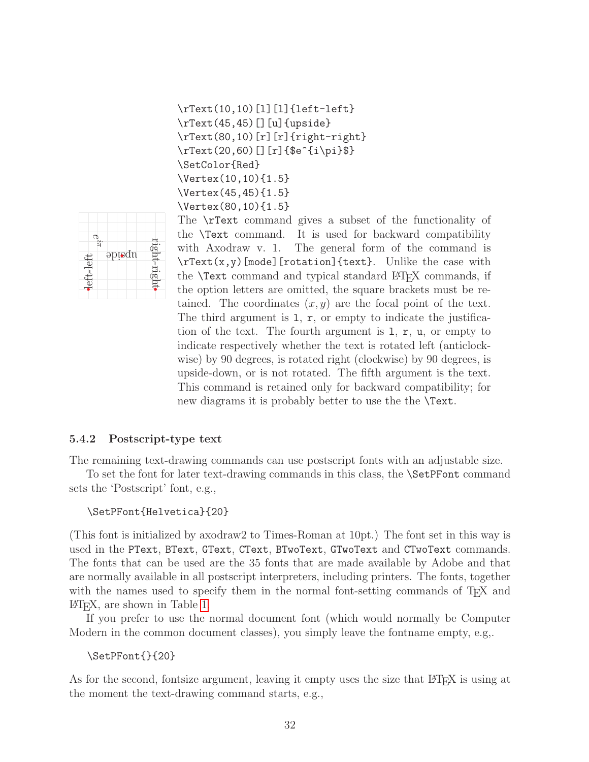```
\rText(10,10)[l][l]{left-left}
\rText(45,45)[][u]{upside}
\rText(80,10)[r][r]{right-right}
\rText(20,60)[][r]{$e^{i\pi}$}
\SetColor{Red}
\Vertex(10,10){1.5}
\Vertex(45,45){1.5}
\Vertex(80,10){1.5}
```


The \rText command gives a subset of the functionality of the \Text command. It is used for backward compatibility with Axodraw v. 1. The general form of the command is \rText(x,y)[mode][rotation]{text}. Unlike the case with the **\Text** command and typical standard LAT<sub>EX</sub> commands, if the option letters are omitted, the square brackets must be retained. The coordinates  $(x, y)$  are the focal point of the text. The third argument is  $1, r$ , or empty to indicate the justification of the text. The fourth argument is l, r, u, or empty to indicate respectively whether the text is rotated left (anticlockwise) by 90 degrees, is rotated right (clockwise) by 90 degrees, is upside-down, or is not rotated. The fifth argument is the text. This command is retained only for backward compatibility; for new diagrams it is probably better to use the the **\Text**.

#### <span id="page-32-0"></span>5.4.2 Postscript-type text

The remaining text-drawing commands can use postscript fonts with an adjustable size.

To set the font for later text-drawing commands in this class, the \SetPFont command sets the 'Postscript' font, e.g.,

#### \SetPFont{Helvetica}{20}

(This font is initialized by axodraw2 to Times-Roman at 10pt.) The font set in this way is used in the PText, BText, GText, CText, BTwoText, GTwoText and CTwoText commands. The fonts that can be used are the 35 fonts that are made available by Adobe and that are normally available in all postscript interpreters, including printers. The fonts, together with the names used to specify them in the normal font-setting commands of T<sub>E</sub>X and LATEX, are shown in Table [1.](#page-33-0)

If you prefer to use the normal document font (which would normally be Computer Modern in the common document classes), you simply leave the fontname empty, e.g,.

#### \SetPFont{}{20}

As for the second, fontsize argument, leaving it empty uses the size that LAT<sub>EX</sub> is using at the moment the text-drawing command starts, e.g.,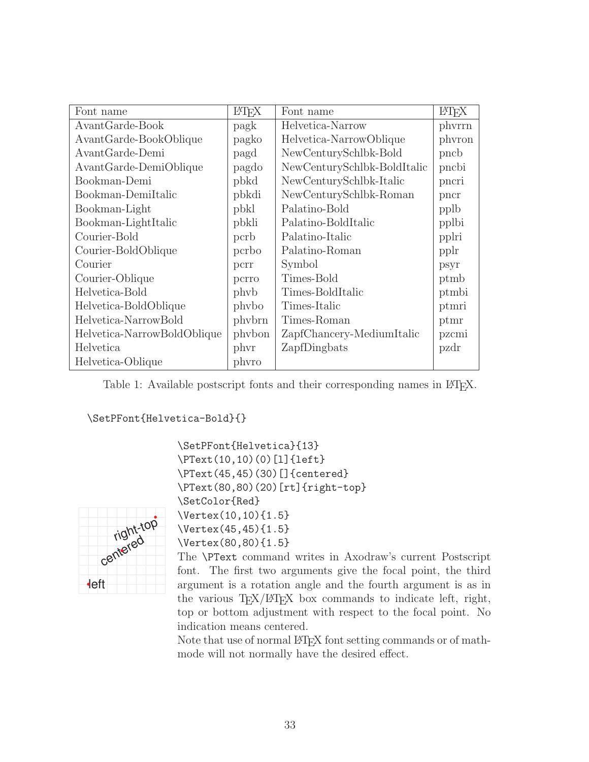| Font name                   | LAT <sub>F</sub> X | Font name                   | <b>ET<sub>F</sub>X</b> |
|-----------------------------|--------------------|-----------------------------|------------------------|
| AvantGarde-Book             | pagk               | Helvetica-Narrow            | phyrrn                 |
| AvantGarde-BookOblique      | pagko              | Helvetica-NarrowOblique     | phyron                 |
| AvantGarde-Demi             | pagd               | NewCenturySchlbk-Bold       | pncb                   |
| AvantGarde-DemiOblique      | pagdo              | NewCenturySchlbk-BoldItalic | pncbi                  |
| Bookman-Demi                | pbkd               | NewCenturySchlbk-Italic     | pncri                  |
| Bookman-DemiItalic          | pbkdi              | NewCenturySchlbk-Roman      | pncr                   |
| Bookman-Light               | pbkl               | Palatino-Bold               | pplb                   |
| Bookman-LightItalic         | pbkli              | Palatino-BoldItalic         | pplbi                  |
| Courier-Bold                | pcrb               | Palatino-Italic             | pplri                  |
| Courier-BoldOblique         | pcrbo              | Palatino-Roman              | pplr                   |
| Courier                     | pcrr               | Symbol                      | psyr                   |
| Courier-Oblique             | pcrro              | Times-Bold                  | ptmb                   |
| Helvetica-Bold              | phyb               | Times-BoldItalic            | ptmbi                  |
| Helvetica-BoldOblique       | phybo              | Times-Italic                | ptmri                  |
| Helvetica-NarrowBold        | phybrn             | Times-Roman                 | ptmr                   |
| Helvetica-NarrowBoldOblique | phybon             | ZapfChancery-MediumItalic   | pzcmi                  |
| Helvetica                   | phyr               | ZapfDingbats                | pzdr                   |
| Helvetica-Oblique           | phyro              |                             |                        |

<span id="page-33-0"></span>Table 1: Available postscript fonts and their corresponding names in IATEX.

\SetPFont{Helvetica-Bold}{}



\SetPFont{Helvetica}{13} \PText(10,10)(0)[l]{left} \PText(45,45)(30)[]{centered} \PText(80,80)(20)[rt]{right-top} \SetColor{Red} \Vertex(10,10){1.5} \Vertex(45,45){1.5} \Vertex(80,80){1.5}

The \PText command writes in Axodraw's current Postscript font. The first two arguments give the focal point, the third argument is a rotation angle and the fourth argument is as in the various  $T_{F}X/HT_{F}X$  box commands to indicate left, right, top or bottom adjustment with respect to the focal point. No indication means centered.

Note that use of normal LAT<sub>EX</sub> font setting commands or of mathmode will not normally have the desired effect.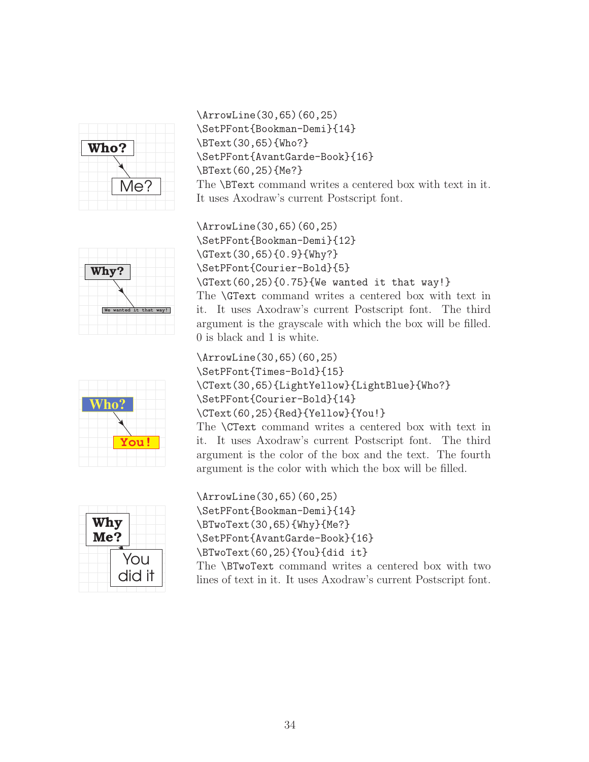

\ArrowLine(30,65)(60,25) \SetPFont{Bookman-Demi}{14} \BText(30,65){Who?} \SetPFont{AvantGarde-Book}{16} \BText(60,25){Me?} The \BText command writes a centered box with text in it. It uses Axodraw's current Postscript font.



\ArrowLine(30,65)(60,25) \SetPFont{Bookman-Demi}{12} \GText(30,65){0.9}{Why?} \SetPFont{Courier-Bold}{5} \GText(60,25){0.75}{We wanted it that way!} The \GText command writes a centered box with text in it. It uses Axodraw's current Postscript font. The third argument is the grayscale with which the box will be filled. 0 is black and 1 is white.

hn **You!** \ArrowLine(30,65)(60,25) \SetPFont{Times-Bold}{15} \CText(30,65){LightYellow}{LightBlue}{Who?} \SetPFont{Courier-Bold}{14} \CText(60,25){Red}{Yellow}{You!}

The \CText command writes a centered box with text in it. It uses Axodraw's current Postscript font. The third argument is the color of the box and the text. The fourth argument is the color with which the box will be filled.



\ArrowLine(30,65)(60,25) \SetPFont{Bookman-Demi}{14} \BTwoText(30,65){Why}{Me?} \SetPFont{AvantGarde-Book}{16} \BTwoText(60,25){You}{did it} The \BTwoText command writes a centered box with two

lines of text in it. It uses Axodraw's current Postscript font.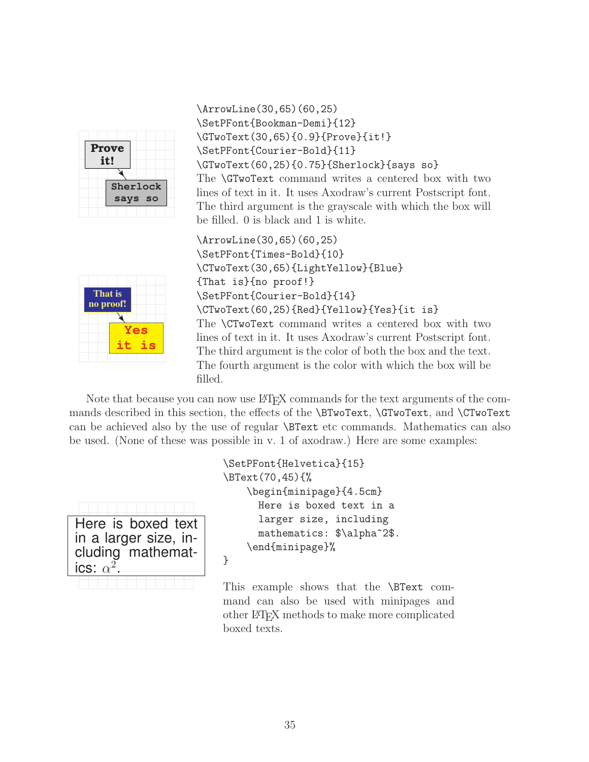| <b>Prove</b><br>it! |
|---------------------|
| Sherlock<br>says so |

\ArrowLine(30,65)(60,25) \SetPFont{Bookman-Demi}{12} \GTwoText(30,65){0.9}{Prove}{it!} \SetPFont{Courier-Bold}{11} \GTwoText(60,25){0.75}{Sherlock}{says so} The \GTwoText command writes a centered box with two lines of text in it. It uses Axodraw's current Postscript font. The third argument is the grayscale with which the box will be filled. 0 is black and 1 is white.

That is no proof! ∡ **Yes it is** \ArrowLine(30,65)(60,25) \SetPFont{Times-Bold}{10} \CTwoText(30,65){LightYellow}{Blue} {That is}{no proof!} \SetPFont{Courier-Bold}{14} \CTwoText(60,25){Red}{Yellow}{Yes}{it is} The \CTwoText command writes a centered box with two lines of text in it. It uses Axodraw's current Postscript font. The third argument is the color of both the box and the text. The fourth argument is the color with which the box will be filled.

Note that because you can now use LATEX commands for the text arguments of the commands described in this section, the effects of the \BTwoText, \GTwoText, and \CTwoText can be achieved also by the use of regular \BText etc commands. Mathematics can also be used. (None of these was possible in v. 1 of axodraw.) Here are some examples:

| Here is boxed text    |
|-----------------------|
| in a larger size, in- |
| cluding mathemat-     |
| ics: $\alpha^2$ .     |
|                       |

```
\SetPFont{Helvetica}{15}
\BText(70,45){%
    \begin{minipage}{4.5cm}
      Here is boxed text in a
      larger size, including
      mathematics: $\alpha^2$.
    \end{minipage}%
}
```
This example shows that the \BText command can also be used with minipages and other LATEX methods to make more complicated boxed texts.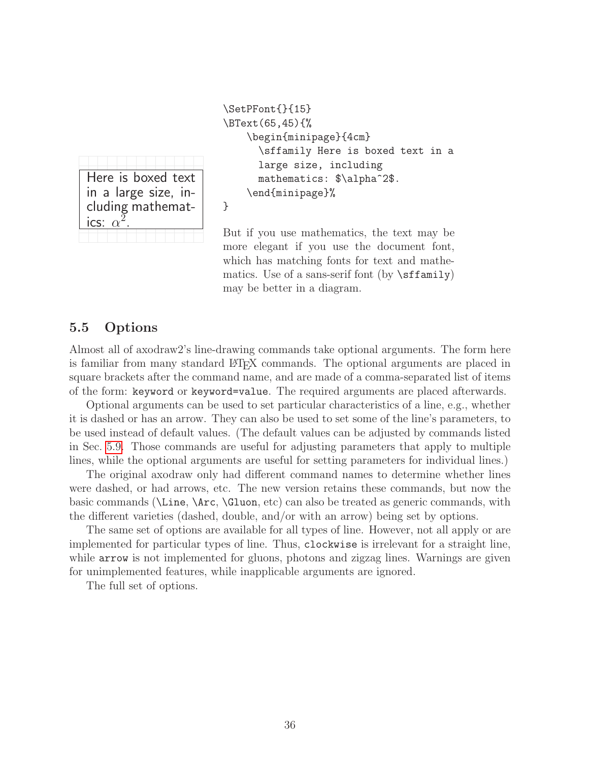Here is boxed text in a large size, including mathematics:  $\alpha$  $\bar{2}$ .

\SetPFont{}{15} \BText(65,45){% \begin{minipage}{4cm} \sffamily Here is boxed text in a large size, including mathematics: \$\alpha^2\$. \end{minipage}%

}

But if you use mathematics, the text may be more elegant if you use the document font, which has matching fonts for text and mathematics. Use of a sans-serif font (by  $\sf \of$ fiamily) may be better in a diagram.

### <span id="page-36-0"></span>5.5 Options

Almost all of axodraw2's line-drawing commands take optional arguments. The form here is familiar from many standard LAT<sub>EX</sub> commands. The optional arguments are placed in square brackets after the command name, and are made of a comma-separated list of items of the form: keyword or keyword=value. The required arguments are placed afterwards.

Optional arguments can be used to set particular characteristics of a line, e.g., whether it is dashed or has an arrow. They can also be used to set some of the line's parameters, to be used instead of default values. (The default values can be adjusted by commands listed in Sec. [5.9.](#page-48-0) Those commands are useful for adjusting parameters that apply to multiple lines, while the optional arguments are useful for setting parameters for individual lines.)

The original axodraw only had different command names to determine whether lines were dashed, or had arrows, etc. The new version retains these commands, but now the basic commands (\Line, \Arc, \Gluon, etc) can also be treated as generic commands, with the different varieties (dashed, double, and/or with an arrow) being set by options.

The same set of options are available for all types of line. However, not all apply or are implemented for particular types of line. Thus, clockwise is irrelevant for a straight line, while arrow is not implemented for gluons, photons and zigzag lines. Warnings are given for unimplemented features, while inapplicable arguments are ignored.

The full set of options.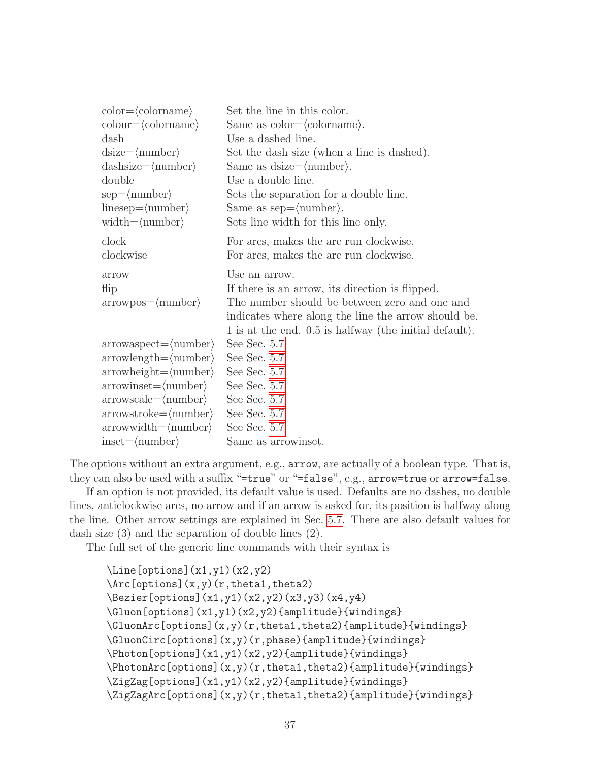| $color=\langle colorname\rangle$                | Set the line in this color.                            |
|-------------------------------------------------|--------------------------------------------------------|
| $\text{colour}=\langle \text{colorname}\rangle$ | Same as $color=(colorname).$                           |
| dash                                            | Use a dashed line.                                     |
| $disize = \langle number \rangle$               | Set the dash size (when a line is dashed).             |
| $d್;ashsize=\langlenumber\rangle$               | Same as $disize = \langle number \rangle$ .            |
| double                                          | Use a double line.                                     |
| $sep=\langle number \rangle$                    | Sets the separation for a double line.                 |
| $linesep=\langle number \rangle$                | Same as $sep=\langle number \rangle$ .                 |
| $width = \langle number \rangle$                | Sets line width for this line only.                    |
| clock                                           | For arcs, makes the arc run clockwise.                 |
| clockwise                                       | For arcs, makes the arc run clockwise.                 |
| arrow                                           | Use an arrow.                                          |
| flip                                            | If there is an arrow, its direction is flipped.        |
| $arrowpos = \langle number \rangle$             | The number should be between zero and one and          |
|                                                 | indicates where along the line the arrow should be.    |
|                                                 | 1 is at the end. 0.5 is halfway (the initial default). |
| $arrow aspect = \langle number \rangle$         | See Sec. 5.7.                                          |
| $arrowlength=\langle number \rangle$            | See Sec. 5.7.                                          |
| $arrowheight = \langle number \rangle$          | See Sec. 5.7.                                          |
| $arrowinset = \langle number \rangle$           | See Sec. 5.7.                                          |
| $arrow scale = \langle number \rangle$          | See Sec. 5.7.                                          |
| $arrowstroke = \langle number \rangle$          | See Sec. 5.7.                                          |
| $arrowwidth = \langle number \rangle$           | See Sec. 5.7.                                          |
| $inset = \langle number \rangle$                | Same as arrowinset.                                    |

The options without an extra argument, e.g., arrow, are actually of a boolean type. That is, they can also be used with a suffix "=true" or "=false", e.g., arrow=true or arrow=false.

If an option is not provided, its default value is used. Defaults are no dashes, no double lines, anticlockwise arcs, no arrow and if an arrow is asked for, its position is halfway along the line. Other arrow settings are explained in Sec. [5.7.](#page-40-0) There are also default values for dash size (3) and the separation of double lines (2).

The full set of the generic line commands with their syntax is

```
\Line[options](x1,y1)(x2,y2)
\Arc[options](x,y)(r,theta1,theta2)
\Bezier[options](x1,y1)(x2,y2)(x3,y3)(x4,y4)
\Gluon[options](x1,y1)(x2,y2){amplitude}{windings}
\GluonArc[options](x,y)(r,theta1,theta2){amplitude}{windings}
\GluonCirc[options](x,y)(r,phase){amplitude}{windings}
\Photon[options](x1,y1)(x2,y2){amplitude}{windings}
\PhotonArc[options](x,y)(r,theta1,theta2){amplitude}{windings}
\ZigZag[options](x1,y1)(x2,y2){amplitude}{windings}
\ZigZagArc[options](x,y)(r,theta1,theta2){amplitude}{windings}
```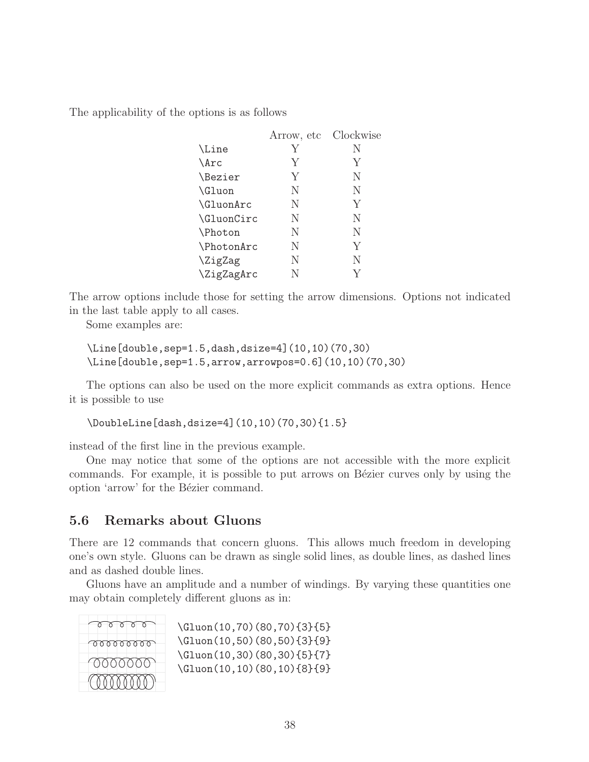The applicability of the options is as follows

|                             | Arrow, etc | Clockwise |
|-----------------------------|------------|-----------|
| \Line                       | Y          | N         |
| $\text{Arc}$                | Y          | Y         |
| <i><u><b>Nezier</b></u></i> | Y          | N         |
| \Gluon                      | N          | N         |
| \GluonArc                   | N          | Y         |
| \GluonCirc                  | N          | N         |
| Photon                      | N          | N         |
| \PhotonArc                  | N          | Y         |
| \ZigZag                     | N          | N         |
| \ZigZagArc                  | N          |           |
|                             |            |           |

The arrow options include those for setting the arrow dimensions. Options not indicated in the last table apply to all cases.

Some examples are:

```
\Line[double,sep=1.5,dash,dsize=4](10,10)(70,30)
\Line[double,sep=1.5,arrow,arrowpos=0.6](10,10)(70,30)
```
The options can also be used on the more explicit commands as extra options. Hence it is possible to use

\DoubleLine[dash,dsize=4](10,10)(70,30){1.5}

instead of the first line in the previous example.

One may notice that some of the options are not accessible with the more explicit commands. For example, it is possible to put arrows on Bézier curves only by using the option 'arrow' for the Bézier command.

# <span id="page-38-0"></span>5.6 Remarks about Gluons

There are 12 commands that concern gluons. This allows much freedom in developing one's own style. Gluons can be drawn as single solid lines, as double lines, as dashed lines and as dashed double lines.

Gluons have an amplitude and a number of windings. By varying these quantities one may obtain completely different gluons as in:

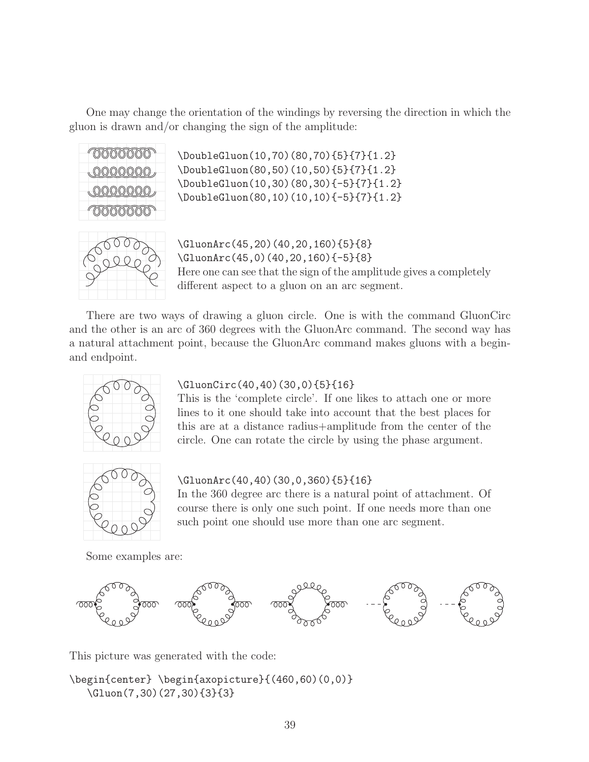One may change the orientation of the windings by reversing the direction in which the gluon is drawn and/or changing the sign of the amplitude:



\DoubleGluon(10,70)(80,70){5}{7}{1.2} \DoubleGluon(80,50)(10,50){5}{7}{1.2} \DoubleGluon(10,30)(80,30){-5}{7}{1.2} \DoubleGluon(80,10)(10,10){-5}{7}{1.2}



\GluonArc(45,20)(40,20,160){5}{8} \GluonArc(45,0)(40,20,160){-5}{8} Here one can see that the sign of the amplitude gives a completely different aspect to a gluon on an arc segment.

There are two ways of drawing a gluon circle. One is with the command GluonCirc and the other is an arc of 360 degrees with the GluonArc command. The second way has a natural attachment point, because the GluonArc command makes gluons with a beginand endpoint.



### \GluonCirc(40,40)(30,0){5}{16}

This is the 'complete circle'. If one likes to attach one or more lines to it one should take into account that the best places for this are at a distance radius+amplitude from the center of the circle. One can rotate the circle by using the phase argument.



#### \GluonArc(40,40)(30,0,360){5}{16}

In the 360 degree arc there is a natural point of attachment. Of course there is only one such point. If one needs more than one such point one should use more than one arc segment.

Some examples are:



This picture was generated with the code:

```
\begin{center} \begin{axopicture}{(460,60)(0,0)}
  \Gluon(7,30)(27,30){3}{3}
```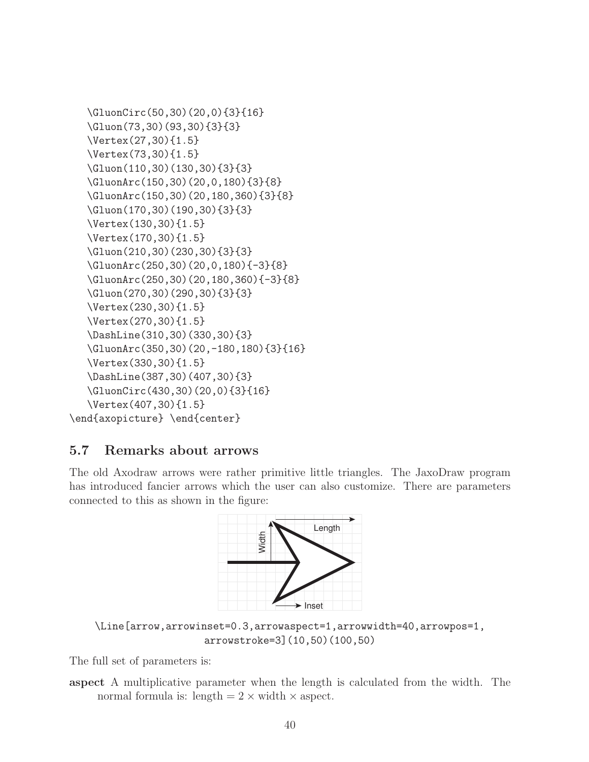```
\GluonCirc(50,30)(20,0){3}{16}
  \Gluon(73,30)(93,30){3}{3}
  \Vertex(27,30){1.5}
  \Vertex(73,30){1.5}
  \Gluon(110,30)(130,30){3}{3}
  \GluonArc(150,30)(20,0,180){3}{8}
  \GluonArc(150,30)(20,180,360){3}{8}
  \Gluon(170,30)(190,30){3}{3}
  \Vertex(130,30){1.5}
  \Vertex(170,30){1.5}
  \Gluon(210,30)(230,30){3}{3}
  \GluonArc(250,30)(20,0,180){-3}{8}
  \GluonArc(250,30)(20,180,360){-3}{8}
  \Gluon(270,30)(290,30){3}{3}
  \Vertex(230,30){1.5}
  \Vertex(270,30){1.5}
  \DashLine(310,30)(330,30){3}
  \GluonArc(350,30)(20,-180,180){3}{16}
  \Vertex(330,30){1.5}
  \DashLine(387,30)(407,30){3}
  \GluonCirc(430,30)(20,0){3}{16}
  \Vertex(407,30){1.5}
\end{axopicture} \end{center}
```
# <span id="page-40-0"></span>5.7 Remarks about arrows

The old Axodraw arrows were rather primitive little triangles. The JaxoDraw program has introduced fancier arrows which the user can also customize. There are parameters connected to this as shown in the figure:



\Line[arrow,arrowinset=0.3,arrowaspect=1,arrowwidth=40,arrowpos=1, arrowstroke=3](10,50)(100,50)

The full set of parameters is:

aspect A multiplicative parameter when the length is calculated from the width. The normal formula is: length  $= 2 \times$  width  $\times$  aspect.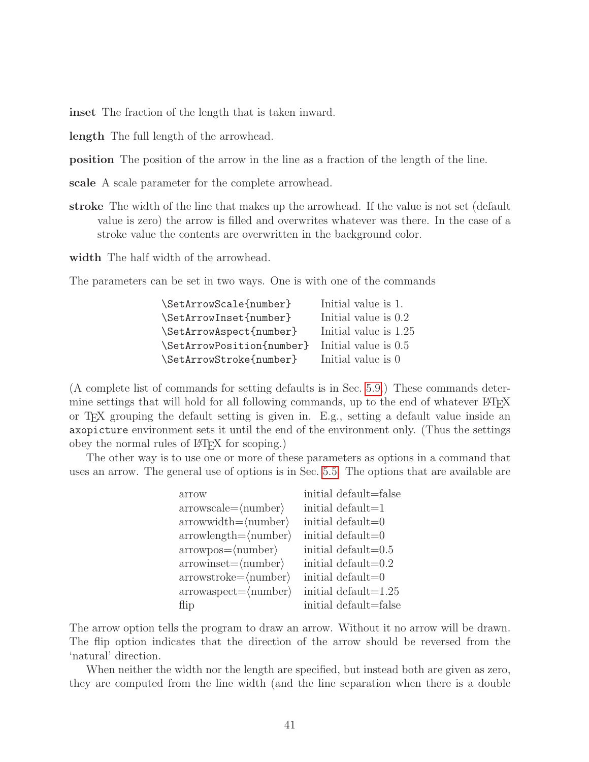inset The fraction of the length that is taken inward.

length The full length of the arrowhead.

position The position of the arrow in the line as a fraction of the length of the line.

scale A scale parameter for the complete arrowhead.

stroke The width of the line that makes up the arrowhead. If the value is not set (default value is zero) the arrow is filled and overwrites whatever was there. In the case of a stroke value the contents are overwritten in the background color.

width The half width of the arrowhead.

The parameters can be set in two ways. One is with one of the commands

| \SetArrowScale{number}    | Initial value is 1.   |
|---------------------------|-----------------------|
| \SetArrowInset{number}    | Initial value is 0.2  |
| \SetArrowAspect{number}   | Initial value is 1.25 |
| \SetArrowPosition{number} | Initial value is 0.5  |
| \SetArrowStroke{number}   | Initial value is 0    |

(A complete list of commands for setting defaults is in Sec. [5.9.](#page-48-0)) These commands determine settings that will hold for all following commands, up to the end of whatever LATEX or TEX grouping the default setting is given in. E.g., setting a default value inside an axopicture environment sets it until the end of the environment only. (Thus the settings obey the normal rules of LATEX for scoping.)

The other way is to use one or more of these parameters as options in a command that uses an arrow. The general use of options is in Sec. [5.5.](#page-36-0) The options that are available are

| arrow                                   | initial default=false   |
|-----------------------------------------|-------------------------|
| $arrow scale = \langle number \rangle$  | initial default=1       |
| $arrowwidth = \langle number \rangle$   | initial default=0       |
| $arrowlength=\langle number \rangle$    | initial default=0       |
| $arrowpos = \langle number \rangle$     | initial default= $0.5$  |
| $arrowinset = \langle number \rangle$   | initial default= $0.2$  |
| $arrowstroke = \langle number \rangle$  | initial default=0       |
| $arrow aspect = \langle number \rangle$ | initial default= $1.25$ |
| flip                                    | initial default=false   |

The arrow option tells the program to draw an arrow. Without it no arrow will be drawn. The flip option indicates that the direction of the arrow should be reversed from the 'natural' direction.

When neither the width nor the length are specified, but instead both are given as zero, they are computed from the line width (and the line separation when there is a double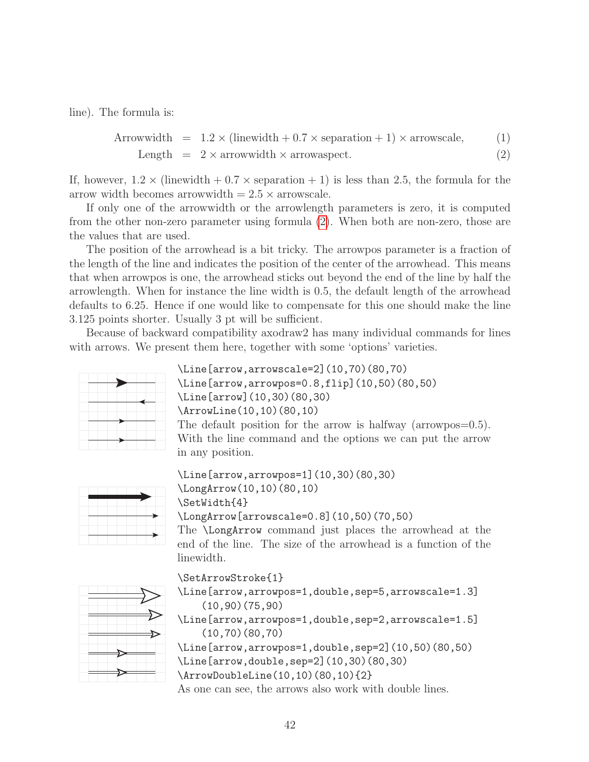line). The formula is:

<span id="page-42-0"></span>
$$
Arrowwidth = 1.2 \times (linewidth + 0.7 \times separation + 1) \times arrowscale, \tag{1}
$$
\n
$$
Length = 2 \times arrowwidth \times arrowuspect. \tag{2}
$$

If, however,  $1.2 \times$  (linewidth  $+ 0.7 \times$  separation  $+ 1$ ) is less than 2.5, the formula for the

arrow width becomes arrowwidth  $= 2.5 \times$  arrowscale. If only one of the arrowwidth or the arrowlength parameters is zero, it is computed from the other non-zero parameter using formula [\(2\)](#page-42-0). When both are non-zero, those are the values that are used.

The position of the arrowhead is a bit tricky. The arrowpos parameter is a fraction of the length of the line and indicates the position of the center of the arrowhead. This means that when arrowpos is one, the arrowhead sticks out beyond the end of the line by half the arrowlength. When for instance the line width is 0.5, the default length of the arrowhead defaults to 6.25. Hence if one would like to compensate for this one should make the line 3.125 points shorter. Usually 3 pt will be sufficient.

Because of backward compatibility axodraw2 has many individual commands for lines with arrows. We present them here, together with some 'options' varieties.



```
\Line[arrow,arrowscale=2](10,70)(80,70)
\Line[arrow,arrowpos=0.8,flip](10,50)(80,50)
\Line[arrow](10,30)(80,30)
\ArrowLine(10,10)(80,10)
The default position for the arrow is halfway (arrowpos=0.5).
With the line command and the options we can put the arrow
in any position.
```


\Line[arrow,arrowpos=1](10,30)(80,30) \LongArrow(10,10)(80,10) \SetWidth{4}

\LongArrow[arrowscale=0.8](10,50)(70,50)

The \LongArrow command just places the arrowhead at the end of the line. The size of the arrowhead is a function of the linewidth.



```
\SetArrowStroke{1}
```
\Line[arrow,arrowpos=1,double,sep=5,arrowscale=1.3] (10,90)(75,90)

\Line[arrow,arrowpos=1,double,sep=2,arrowscale=1.5] (10,70)(80,70)

```
\Line[arrow,arrowpos=1,double,sep=2](10,50)(80,50)
\Line[arrow,double,sep=2](10,30)(80,30)
\ArrowDoubleLine(10,10)(80,10){2}
```
As one can see, the arrows also work with double lines.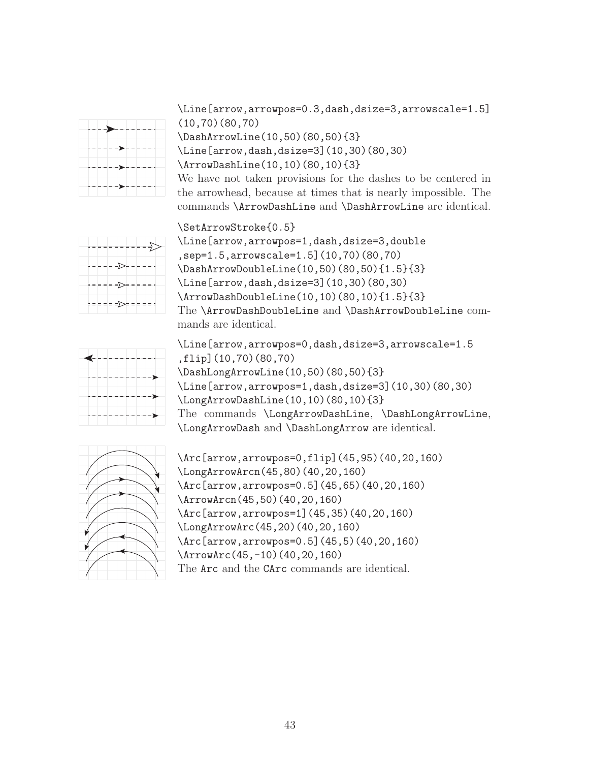

\Line[arrow,arrowpos=0.3,dash,dsize=3,arrowscale=1.5] (10,70)(80,70) \DashArrowLine(10,50)(80,50){3} \Line[arrow,dash,dsize=3](10,30)(80,30) \ArrowDashLine(10,10)(80,10){3} We have not taken provisions for the dashes to be centered in

the arrowhead, because at times that is nearly impossible. The commands \ArrowDashLine and \DashArrowLine are identical.



\SetArrowStroke{0.5} \Line[arrow,arrowpos=1,dash,dsize=3,double ,sep=1.5,arrowscale=1.5](10,70)(80,70) \DashArrowDoubleLine(10,50)(80,50){1.5}{3} \Line[arrow,dash,dsize=3](10,30)(80,30) \ArrowDashDoubleLine(10,10)(80,10){1.5}{3} The \ArrowDashDoubleLine and \DashArrowDoubleLine commands are identical.



\Line[arrow,arrowpos=0,dash,dsize=3,arrowscale=1.5 ,flip](10,70)(80,70) \DashLongArrowLine(10,50)(80,50){3} \Line[arrow,arrowpos=1,dash,dsize=3](10,30)(80,30) \LongArrowDashLine(10,10)(80,10){3} The commands \LongArrowDashLine, \DashLongArrowLine, \LongArrowDash and \DashLongArrow are identical.



\Arc[arrow,arrowpos=0,flip](45,95)(40,20,160) \LongArrowArcn(45,80)(40,20,160) \Arc[arrow,arrowpos=0.5](45,65)(40,20,160) \ArrowArcn(45,50)(40,20,160) \Arc[arrow,arrowpos=1](45,35)(40,20,160) \LongArrowArc(45,20)(40,20,160) \Arc[arrow,arrowpos=0.5](45,5)(40,20,160) \ArrowArc(45,-10)(40,20,160) The Arc and the CArc commands are identical.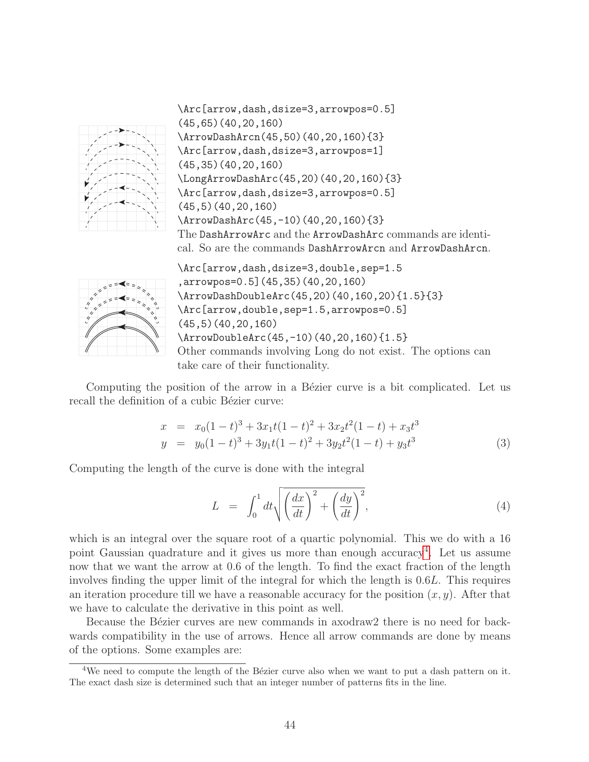

\Arc[arrow,dash,dsize=3,arrowpos=0.5] (45,65)(40,20,160) \ArrowDashArcn(45,50)(40,20,160){3} \Arc[arrow,dash,dsize=3,arrowpos=1] (45,35)(40,20,160) \LongArrowDashArc(45,20)(40,20,160){3} \Arc[arrow,dash,dsize=3,arrowpos=0.5] (45,5)(40,20,160) \ArrowDashArc(45,-10)(40,20,160){3} The DashArrowArc and the ArrowDashArc commands are identical. So are the commands DashArrowArcn and ArrowDashArcn.



\Arc[arrow,dash,dsize=3,double,sep=1.5 ,arrowpos=0.5](45,35)(40,20,160) \ArrowDashDoubleArc(45,20)(40,160,20){1.5}{3} \Arc[arrow,double,sep=1.5,arrowpos=0.5] (45,5)(40,20,160) \ArrowDoubleArc(45,-10)(40,20,160){1.5} Other commands involving Long do not exist. The options can take care of their functionality.

Computing the position of the arrow in a Bézier curve is a bit complicated. Let us recall the definition of a cubic Bézier curve:

$$
x = x_0(1-t)^3 + 3x_1t(1-t)^2 + 3x_2t^2(1-t) + x_3t^3
$$
  
\n
$$
y = y_0(1-t)^3 + 3y_1t(1-t)^2 + 3y_2t^2(1-t) + y_3t^3
$$
\n(3)

Computing the length of the curve is done with the integral

$$
L = \int_0^1 dt \sqrt{\left(\frac{dx}{dt}\right)^2 + \left(\frac{dy}{dt}\right)^2},\tag{4}
$$

which is an integral over the square root of a quartic polynomial. This we do with a 16 point Gaussian quadrature and it gives us more than enough accuracy<sup>[4](#page-44-0)</sup>. Let us assume now that we want the arrow at 0.6 of the length. To find the exact fraction of the length involves finding the upper limit of the integral for which the length is 0.6L. This requires an iteration procedure till we have a reasonable accuracy for the position  $(x, y)$ . After that we have to calculate the derivative in this point as well.

Because the Bézier curves are new commands in axodraw2 there is no need for backwards compatibility in the use of arrows. Hence all arrow commands are done by means of the options. Some examples are:

<span id="page-44-0"></span><sup>&</sup>lt;sup>4</sup>We need to compute the length of the Bézier curve also when we want to put a dash pattern on it. The exact dash size is determined such that an integer number of patterns fits in the line.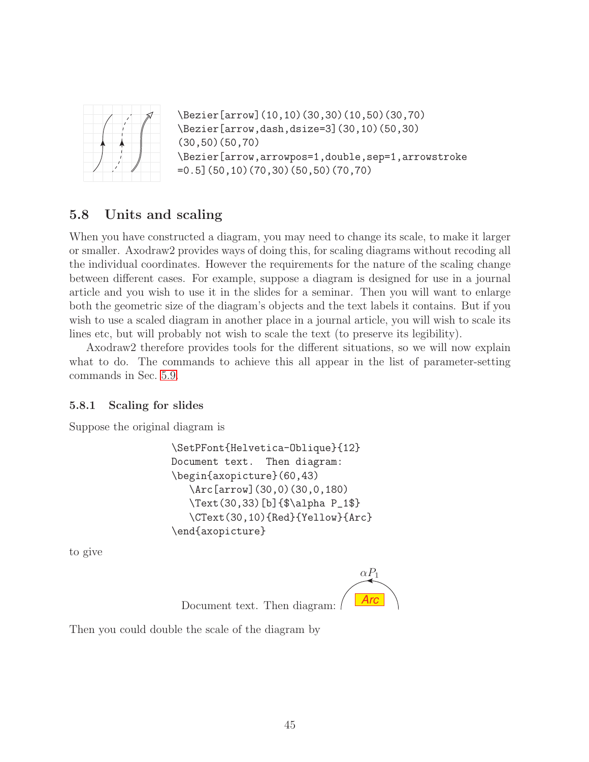

```
\Bezier[arrow](10,10)(30,30)(10,50)(30,70)
\Bezier[arrow,dash,dsize=3](30,10)(50,30)
(30,50)(50,70)
\Bezier[arrow,arrowpos=1,double,sep=1,arrowstroke
=0.5](50,10)(70,30)(50,50)(70,70)
```
# <span id="page-45-0"></span>5.8 Units and scaling

When you have constructed a diagram, you may need to change its scale, to make it larger or smaller. Axodraw2 provides ways of doing this, for scaling diagrams without recoding all the individual coordinates. However the requirements for the nature of the scaling change between different cases. For example, suppose a diagram is designed for use in a journal article and you wish to use it in the slides for a seminar. Then you will want to enlarge both the geometric size of the diagram's objects and the text labels it contains. But if you wish to use a scaled diagram in another place in a journal article, you will wish to scale its lines etc, but will probably not wish to scale the text (to preserve its legibility).

Axodraw2 therefore provides tools for the different situations, so we will now explain what to do. The commands to achieve this all appear in the list of parameter-setting commands in Sec. [5.9.](#page-48-0)

### <span id="page-45-1"></span>5.8.1 Scaling for slides

Suppose the original diagram is

```
\SetPFont{Helvetica-Oblique}{12}
Document text. Then diagram:
\begin{axopicture}(60,43)
   \Arc[arrow](30,0)(30,0,180)
   \Text(30,33)[b]{$\alpha P_1$}
   \CText(30,10){Red}{Yellow}{Arc}
\end{axopicture}
```
to give



Then you could double the scale of the diagram by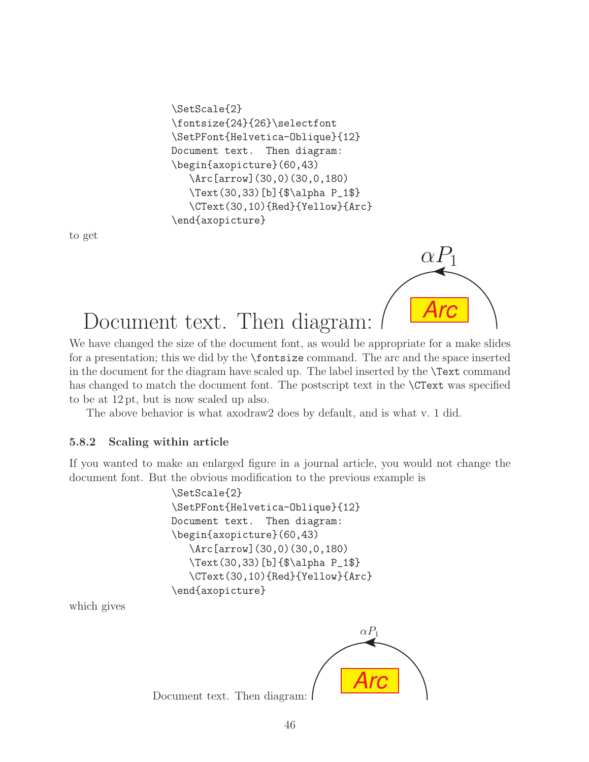```
\SetScale{2}
\fontsize{24}{26}\selectfont
\SetPFont{Helvetica-Oblique}{12}
Document text. Then diagram:
\begin{axopicture}(60,43)
   \Arc[arrow](30,0)(30,0,180)
   \Text(30,33)[b]{$\alpha P_1$}
   \CText(30,10){Red}{Yellow}{Arc}
\end{axopicture}
```
to get



# Document text. Then diagram:

We have changed the size of the document font, as would be appropriate for a make slides for a presentation; this we did by the \fontsize command. The arc and the space inserted in the document for the diagram have scaled up. The label inserted by the \Text command has changed to match the document font. The postscript text in the **\CText** was specified to be at 12 pt, but is now scaled up also.

The above behavior is what axodraw2 does by default, and is what v. 1 did.

### <span id="page-46-0"></span>5.8.2 Scaling within article

If you wanted to make an enlarged figure in a journal article, you would not change the document font. But the obvious modification to the previous example is

```
\SetScale{2}
\SetPFont{Helvetica-Oblique}{12}
Document text. Then diagram:
\begin{axopicture}(60,43)
   \Arc[arrow](30,0)(30,0,180)
   \Text(30,33)[b]{$\alpha P_1$}
   \CText(30,10){Red}{Yellow}{Arc}
\end{axopicture}
```
which gives



Document text. Then diagram: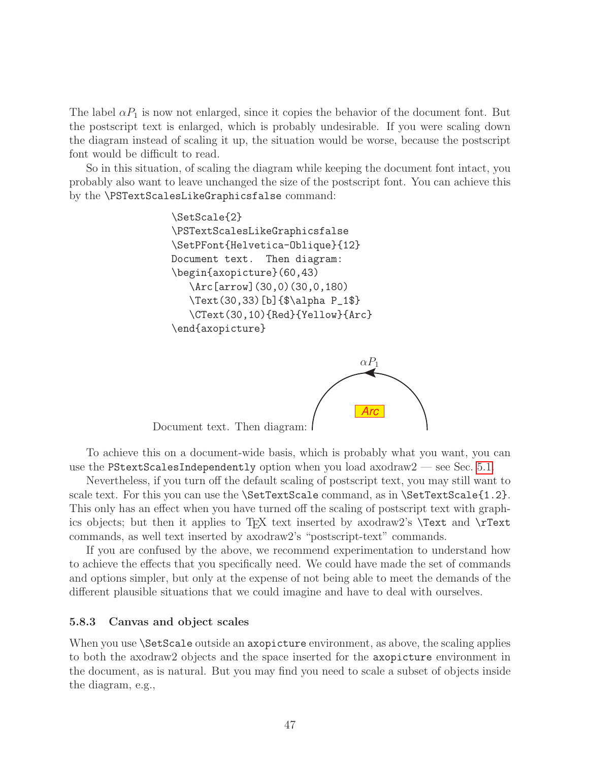The label  $\alpha P_1$  is now not enlarged, since it copies the behavior of the document font. But the postscript text is enlarged, which is probably undesirable. If you were scaling down the diagram instead of scaling it up, the situation would be worse, because the postscript font would be difficult to read.

So in this situation, of scaling the diagram while keeping the document font intact, you probably also want to leave unchanged the size of the postscript font. You can achieve this by the \PSTextScalesLikeGraphicsfalse command:

```
\SetScale{2}
\PSTextScalesLikeGraphicsfalse
\SetPFont{Helvetica-Oblique}{12}
Document text. Then diagram:
\begin{axopicture}(60,43)
   \Arc[arrow](30,0)(30,0,180)
   \Text(30,33)[b]{$\alpha P_1$}
   \CText(30,10){Red}{Yellow}{Arc}
\end{axopicture}
```


Document text. Then diagram:

To achieve this on a document-wide basis, which is probably what you want, you can use the PStextScalesIndependently option when you load axodraw $2$  — see Sec. [5.1.](#page-14-1)

Nevertheless, if you turn off the default scaling of postscript text, you may still want to scale text. For this you can use the **\SetTextScale** command, as in **\SetTextScale**{1.2}. This only has an effect when you have turned off the scaling of postscript text with graphics objects; but then it applies to T<sub>E</sub>X text inserted by axodraw2's  $\Text$  and  $\Tr$ commands, as well text inserted by axodraw2's "postscript-text" commands.

If you are confused by the above, we recommend experimentation to understand how to achieve the effects that you specifically need. We could have made the set of commands and options simpler, but only at the expense of not being able to meet the demands of the different plausible situations that we could imagine and have to deal with ourselves.

#### <span id="page-47-0"></span>5.8.3 Canvas and object scales

When you use **\SetScale** outside an axopicture environment, as above, the scaling applies to both the axodraw2 objects and the space inserted for the axopicture environment in the document, as is natural. But you may find you need to scale a subset of objects inside the diagram, e.g.,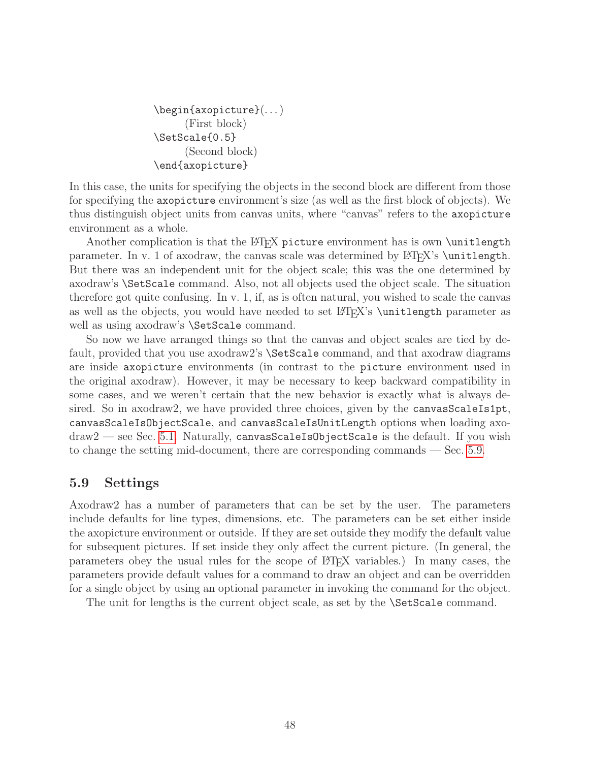```
\begin{axopicture}(. . . )
      (First block)
\SetScale{0.5}
      (Second block)
\end{axopicture}
```
In this case, the units for specifying the objects in the second block are different from those for specifying the axopicture environment's size (as well as the first block of objects). We thus distinguish object units from canvas units, where "canvas" refers to the axopicture environment as a whole.

Another complication is that the  $\mathbb{P}T_FX$  picture environment has is own \unitlength parameter. In v. 1 of axodraw, the canvas scale was determined by  $\langle$ FIFX's \unitlength. But there was an independent unit for the object scale; this was the one determined by axodraw's \SetScale command. Also, not all objects used the object scale. The situation therefore got quite confusing. In v. 1, if, as is often natural, you wished to scale the canvas as well as the objects, you would have needed to set LAT<sub>EX</sub>'s \unitlength parameter as well as using axodraw's **\SetScale** command.

So now we have arranged things so that the canvas and object scales are tied by default, provided that you use axodraw2's \SetScale command, and that axodraw diagrams are inside axopicture environments (in contrast to the picture environment used in the original axodraw). However, it may be necessary to keep backward compatibility in some cases, and we weren't certain that the new behavior is exactly what is always desired. So in axodraw2, we have provided three choices, given by the canvasScaleIs1pt, canvasScaleIsObjectScale, and canvasScaleIsUnitLength options when loading axo $d$ raw2 — see Sec. [5.1.](#page-14-1) Naturally, canvasScaleIsObjectScale is the default. If you wish to change the setting mid-document, there are corresponding commands — Sec. [5.9.](#page-48-0)

### <span id="page-48-0"></span>5.9 Settings

Axodraw2 has a number of parameters that can be set by the user. The parameters include defaults for line types, dimensions, etc. The parameters can be set either inside the axopicture environment or outside. If they are set outside they modify the default value for subsequent pictures. If set inside they only affect the current picture. (In general, the parameters obey the usual rules for the scope of LATEX variables.) In many cases, the parameters provide default values for a command to draw an object and can be overridden for a single object by using an optional parameter in invoking the command for the object.

The unit for lengths is the current object scale, as set by the **\SetScale** command.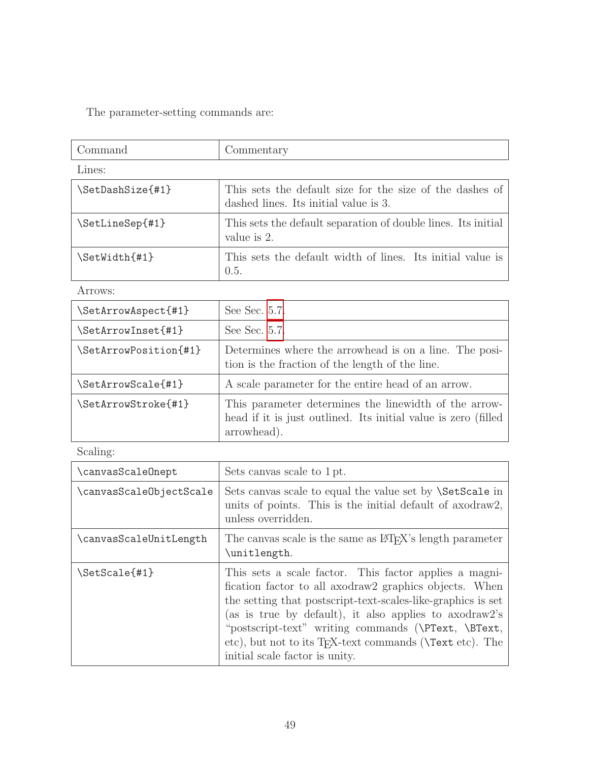The parameter-setting commands are:

| Command          | Commentary                                                                                        |  |  |  |
|------------------|---------------------------------------------------------------------------------------------------|--|--|--|
| Lines:           |                                                                                                   |  |  |  |
| \SetDashSize{#1} | This sets the default size for the size of the dashes of<br>dashed lines. Its initial value is 3. |  |  |  |
| \SetLineSep{#1}  | This sets the default separation of double lines. Its initial<br>value is 2.                      |  |  |  |
| \SetWidth{#1}    | This sets the default width of lines. Its initial value is<br>0.5.                                |  |  |  |

Arrows:

| \SetArrowAspect{#1}   | See Sec. 5.7.                                                                                                                          |
|-----------------------|----------------------------------------------------------------------------------------------------------------------------------------|
| \SetArrowInset{#1}    | See Sec. 5.7.                                                                                                                          |
| \SetArrowPosition{#1} | Determines where the arrowhead is on a line. The posi-<br>tion is the fraction of the length of the line.                              |
| \SetArrowScale{#1}    | A scale parameter for the entire head of an arrow.                                                                                     |
| \SetArrowStroke{#1}   | This parameter determines the linewidth of the arrow-<br>head if it is just outlined. Its initial value is zero (filled<br>arrowhead). |

Scaling:

| \canvasScaleOnept       | Sets canvas scale to 1 pt.                                                                                                                                                                                                                                                                                                                                                                                                      |
|-------------------------|---------------------------------------------------------------------------------------------------------------------------------------------------------------------------------------------------------------------------------------------------------------------------------------------------------------------------------------------------------------------------------------------------------------------------------|
| \canvasScaleObjectScale | Sets canvas scale to equal the value set by <i>SetScale</i> in<br>units of points. This is the initial default of axodraw2,<br>unless overridden.                                                                                                                                                                                                                                                                               |
| \canvasScaleUnitLength  | The canvas scale is the same as LAT <sub>F</sub> X's length parameter<br>\unitlength.                                                                                                                                                                                                                                                                                                                                           |
| \SetScale{#1}           | This sets a scale factor. This factor applies a magni-<br>fication factor to all axodraw <sub>2</sub> graphics objects. When<br>the setting that postscript-text-scales-like-graphics is set<br>(as is true by default), it also applies to axodraw2's<br>"postscript-text" writing commands (\PText, \BText,<br>etc), but not to its T <sub>F</sub> X-text commands ( <b>\Text</b> etc). The<br>initial scale factor is unity. |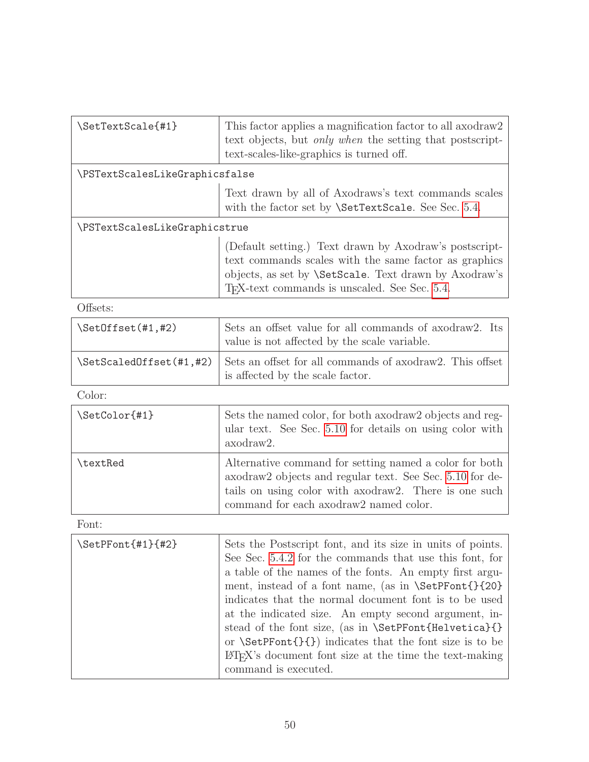| \SetTextScale{#1}              | This factor applies a magnification factor to all axodraw <sub>2</sub><br>text objects, but <i>only when</i> the setting that postscript-<br>text-scales-like-graphics is turned off.                                                         |  |
|--------------------------------|-----------------------------------------------------------------------------------------------------------------------------------------------------------------------------------------------------------------------------------------------|--|
| \PSTextScalesLikeGraphicsfalse |                                                                                                                                                                                                                                               |  |
|                                | Text drawn by all of Axodraws's text commands scales<br>with the factor set by <b>\SetTextScale</b> . See Sec. 5.4.                                                                                                                           |  |
| \PSTextScalesLikeGraphicstrue  |                                                                                                                                                                                                                                               |  |
|                                | (Default setting.) Text drawn by Axodraw's postscript-<br>text commands scales with the same factor as graphics<br>objects, as set by <i>\SetScale</i> . Text drawn by Axodraw's<br>T <sub>F</sub> X-text commands is unscaled. See Sec. 5.4. |  |

### Offsets:

| \SetOffset(#1,#2) | Sets an offset value for all commands of axodraw2. Its<br>value is not affected by the scale variable.                   |
|-------------------|--------------------------------------------------------------------------------------------------------------------------|
|                   | $\Set{\text{Set}\{41,#2\}}$ Sets an offset for all commands of axodraw2. This offset<br>is affected by the scale factor. |

Color:

| \SetColor{#1} | Sets the named color, for both axodraw <sub>2</sub> objects and reg-<br>ular text. See Sec. 5.10 for details on using color with<br>axodraw2.                                                                                      |
|---------------|------------------------------------------------------------------------------------------------------------------------------------------------------------------------------------------------------------------------------------|
| \textRed      | Alternative command for setting named a color for both<br>axodraw <sub>2</sub> objects and regular text. See Sec. 5.10 for de-<br>tails on using color with axodraw 2. There is one such<br>command for each axodraw2 named color. |

Font:

| \SetPFont{#1}{#2} | Sets the Postscript font, and its size in units of points.<br>See Sec. 5.4.2 for the commands that use this font, for<br>a table of the names of the fonts. An empty first argu-<br>ment, instead of a font name, (as in \SetPFont{}{20}}<br>indicates that the normal document font is to be used<br>at the indicated size. An empty second argument, in-<br>stead of the font size, (as in \SetPFont{Helvetica}{}<br>or $\Set{'}{\mathcal{I}}$ indicates that the font size is to be<br>LAT <sub>EX</sub> 's document font size at the time the text-making |
|-------------------|---------------------------------------------------------------------------------------------------------------------------------------------------------------------------------------------------------------------------------------------------------------------------------------------------------------------------------------------------------------------------------------------------------------------------------------------------------------------------------------------------------------------------------------------------------------|
|                   | command is executed.                                                                                                                                                                                                                                                                                                                                                                                                                                                                                                                                          |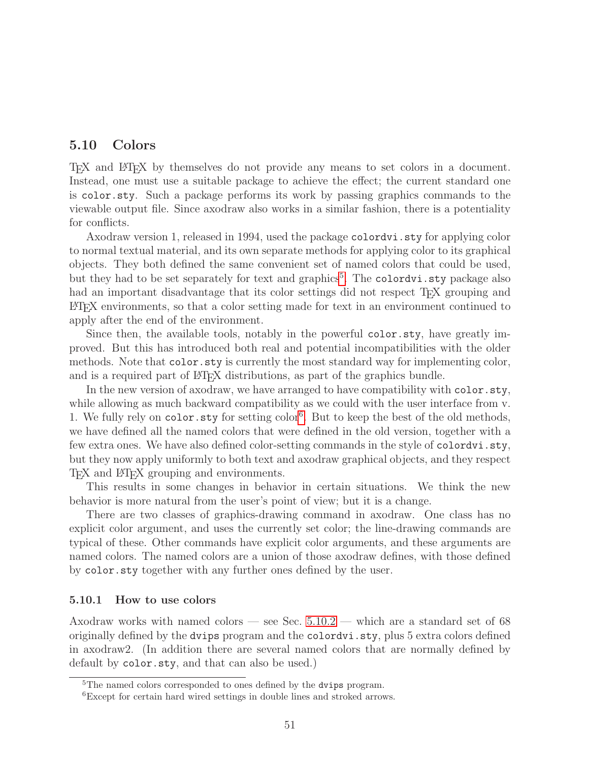### <span id="page-51-0"></span>5.10 Colors

TEX and LATEX by themselves do not provide any means to set colors in a document. Instead, one must use a suitable package to achieve the effect; the current standard one is color.sty. Such a package performs its work by passing graphics commands to the viewable output file. Since axodraw also works in a similar fashion, there is a potentiality for conflicts.

Axodraw version 1, released in 1994, used the package colordvi.sty for applying color to normal textual material, and its own separate methods for applying color to its graphical objects. They both defined the same convenient set of named colors that could be used, but they had to be set separately for text and graphics<sup>[5](#page-51-2)</sup>. The colordvi.sty package also had an important disadvantage that its color settings did not respect T<sub>F</sub>X grouping and LATEX environments, so that a color setting made for text in an environment continued to apply after the end of the environment.

Since then, the available tools, notably in the powerful color.sty, have greatly improved. But this has introduced both real and potential incompatibilities with the older methods. Note that color.sty is currently the most standard way for implementing color, and is a required part of LATEX distributions, as part of the graphics bundle.

In the new version of axodraw, we have arranged to have compatibility with color.sty, while allowing as much backward compatibility as we could with the user interface from v. 1. We fully rely on color.sty for setting color<sup>[6](#page-51-3)</sup>. But to keep the best of the old methods, we have defined all the named colors that were defined in the old version, together with a few extra ones. We have also defined color-setting commands in the style of colordvi.sty, but they now apply uniformly to both text and axodraw graphical objects, and they respect T<sub>EX</sub> and LAT<sub>EX</sub> grouping and environments.

This results in some changes in behavior in certain situations. We think the new behavior is more natural from the user's point of view; but it is a change.

There are two classes of graphics-drawing command in axodraw. One class has no explicit color argument, and uses the currently set color; the line-drawing commands are typical of these. Other commands have explicit color arguments, and these arguments are named colors. The named colors are a union of those axodraw defines, with those defined by color.sty together with any further ones defined by the user.

#### <span id="page-51-1"></span>5.10.1 How to use colors

Axodraw works with named colors — see Sec. [5.10.2](#page-54-0) — which are a standard set of 68 originally defined by the dvips program and the colordvi.sty, plus 5 extra colors defined in axodraw2. (In addition there are several named colors that are normally defined by default by color.sty, and that can also be used.)

<span id="page-51-2"></span><sup>&</sup>lt;sup>5</sup>The named colors corresponded to ones defined by the **dvips** program.

<span id="page-51-3"></span><sup>6</sup>Except for certain hard wired settings in double lines and stroked arrows.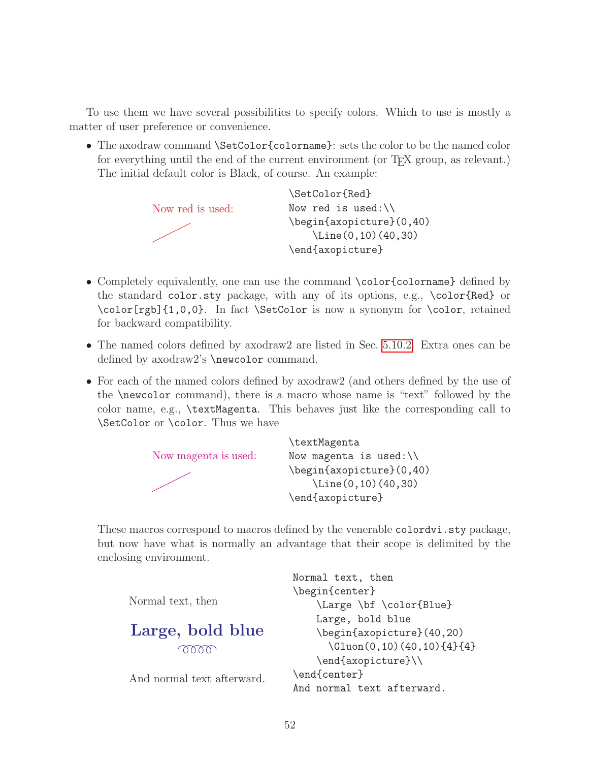To use them we have several possibilities to specify colors. Which to use is mostly a matter of user preference or convenience.

• The axodraw command \SetColor{colorname}: sets the color to be the named color for everything until the end of the current environment (or T<sub>EX</sub> group, as relevant.) The initial default color is Black, of course. An example:



- Completely equivalently, one can use the command \color{colorname} defined by the standard color.sty package, with any of its options, e.g., \color{Red} or \color[rgb]{1,0,0}. In fact \SetColor is now a synonym for \color, retained for backward compatibility.
- The named colors defined by axodraw2 are listed in Sec. [5.10.2.](#page-54-0) Extra ones can be defined by axodraw2's \newcolor command.
- For each of the named colors defined by axodraw2 (and others defined by the use of the \newcolor command), there is a macro whose name is "text" followed by the color name, e.g., \textMagenta. This behaves just like the corresponding call to \SetColor or \color. Thus we have



These macros correspond to macros defined by the venerable colordy i. sty package, but now have what is normally an advantage that their scope is delimited by the enclosing environment.

```
Normal text, then
                            \begin{center}
Normal text, then
                                \Large \bf \color{Blue}
                                Large, bold blue
Large, bold blue
                                \begin{axopicture}(40,20)
                                  \Gluon(0,10)(40,10){4}{4}
        OOOO
                                \end{axopicture}\\
                            \end{center}
And normal text afterward.
                            And normal text afterward.
```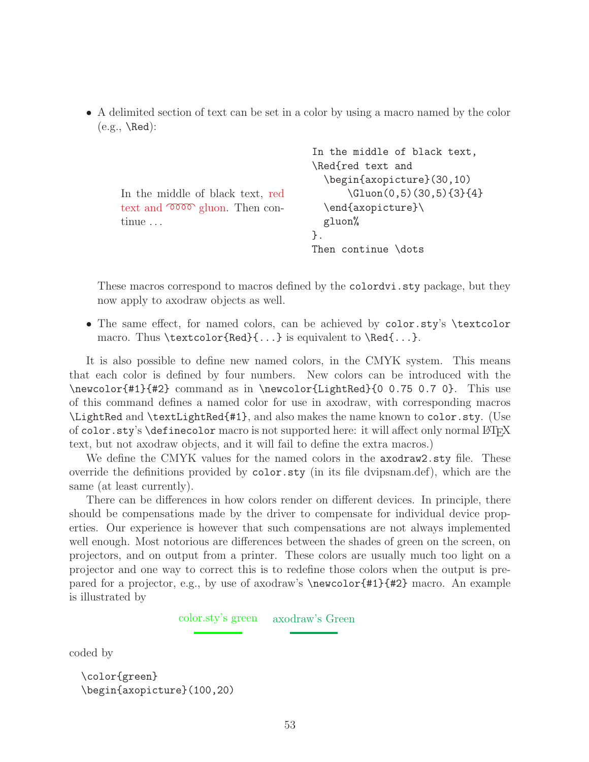• A delimited section of text can be set in a color by using a macro named by the color  $(e.g., \text{Red})$ :

```
In the middle of black text, red
text and \infty gluon. Then con-
tinue ...
                                   In the middle of black text,
                                   \Red{red text and
                                     \begin{axopicture}(30,10)
                                          \Gluon(0,5)(30,5){3}{4}
                                     \end{axopicture}\
                                     gluon%
                                   }.
                                   Then continue \dots
```
These macros correspond to macros defined by the colordvi.sty package, but they now apply to axodraw objects as well.

• The same effect, for named colors, can be achieved by color.sty's \textcolor macro. Thus \textcolor{Red}{...} is equivalent to \Red{...}.

It is also possible to define new named colors, in the CMYK system. This means that each color is defined by four numbers. New colors can be introduced with the \newcolor{#1}{#2} command as in \newcolor{LightRed}{0 0.75 0.7 0}. This use of this command defines a named color for use in axodraw, with corresponding macros \LightRed and \textLightRed{#1}, and also makes the name known to color.sty. (Use of color.sty's \definecolor macro is not supported here: it will affect only normal LATEX text, but not axodraw objects, and it will fail to define the extra macros.)

We define the CMYK values for the named colors in the  $axodraw2.$  sty file. These override the definitions provided by color.sty (in its file dvipsnam.def), which are the same (at least currently).

There can be differences in how colors render on different devices. In principle, there should be compensations made by the driver to compensate for individual device properties. Our experience is however that such compensations are not always implemented well enough. Most notorious are differences between the shades of green on the screen, on projectors, and on output from a printer. These colors are usually much too light on a projector and one way to correct this is to redefine those colors when the output is prepared for a projector, e.g., by use of axodraw's \newcolor{#1}{#2} macro. An example is illustrated by

color.sty's green axodraw's Green

coded by

```
\color{green}
\begin{axopicture}(100,20)
```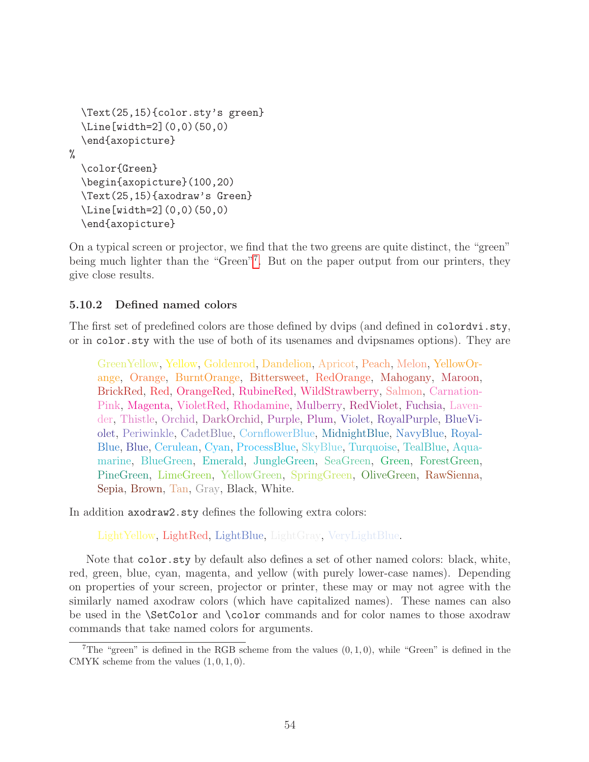```
\Text(25,15){color.sty's green}
  \Line[width=2](0,0)(50,0)
  \end{axopicture}
%
  \color{Green}
  \begin{axopicture}(100,20)
  \Text(25,15){axodraw's Green}
  \Line[width=2](0,0)(50,0)
  \end{axopicture}
```
On a typical screen or projector, we find that the two greens are quite distinct, the "green" being much lighter than the "Green"<sup>[7](#page-54-1)</sup>. But on the paper output from our printers, they give close results.

### <span id="page-54-0"></span>5.10.2 Defined named colors

The first set of predefined colors are those defined by dvips (and defined in colordvi.sty, or in color.sty with the use of both of its usenames and dvipsnames options). They are

GreenYellow, Yellow, Goldenrod, Dandelion, Apricot, Peach, Melon, YellowOrange, Orange, BurntOrange, Bittersweet, RedOrange, Mahogany, Maroon, BrickRed, Red, OrangeRed, RubineRed, WildStrawberry, Salmon, Carnation-Pink, Magenta, VioletRed, Rhodamine, Mulberry, RedViolet, Fuchsia, Lavender, Thistle, Orchid, DarkOrchid, Purple, Plum, Violet, RoyalPurple, BlueViolet, Periwinkle, CadetBlue, CornflowerBlue, MidnightBlue, NavyBlue, Royal-Blue, Blue, Cerulean, Cyan, ProcessBlue, SkyBlue, Turquoise, TealBlue, Aquamarine, BlueGreen, Emerald, JungleGreen, SeaGreen, Green, ForestGreen, PineGreen, LimeGreen, YellowGreen, SpringGreen, OliveGreen, RawSienna, Sepia, Brown, Tan, Gray, Black, White.

In addition axodraw2.sty defines the following extra colors:

LightYellow, LightRed, LightBlue, LightGray, VeryLightBlue.

Note that color.sty by default also defines a set of other named colors: black, white, red, green, blue, cyan, magenta, and yellow (with purely lower-case names). Depending on properties of your screen, projector or printer, these may or may not agree with the similarly named axodraw colors (which have capitalized names). These names can also be used in the \SetColor and \color commands and for color names to those axodraw commands that take named colors for arguments.

<span id="page-54-1"></span><sup>&</sup>lt;sup>7</sup>The "green" is defined in the RGB scheme from the values  $(0, 1, 0)$ , while "Green" is defined in the CMYK scheme from the values  $(1, 0, 1, 0)$ .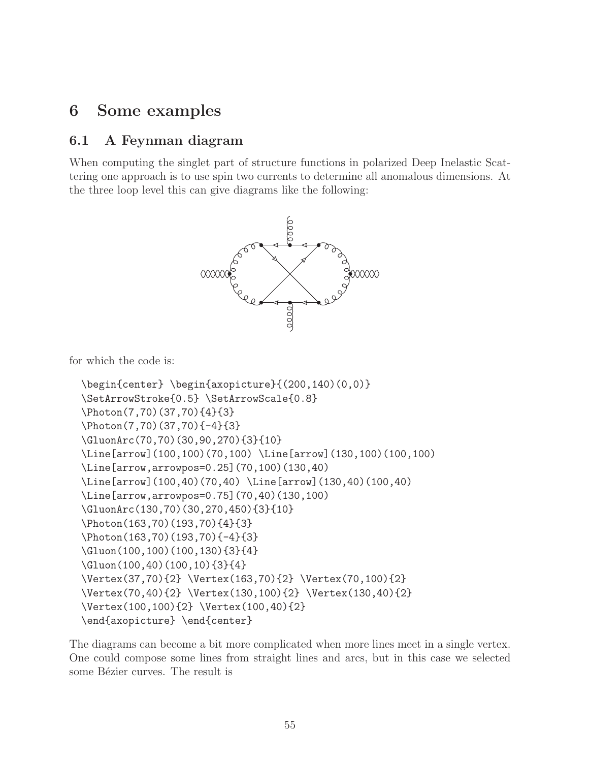# <span id="page-55-0"></span>6 Some examples

### <span id="page-55-1"></span>6.1 A Feynman diagram

When computing the singlet part of structure functions in polarized Deep Inelastic Scattering one approach is to use spin two currents to determine all anomalous dimensions. At the three loop level this can give diagrams like the following:



for which the code is:

```
\begin{center} \begin{axopicture}{(200,140)(0,0)}
\SetArrowStroke{0.5} \SetArrowScale{0.8}
\Photon(7,70)(37,70){4}{3}
\Photon(7,70)(37,70){-4}{3}
\GluonArc(70,70)(30,90,270){3}{10}
\Line[arrow](100,100)(70,100) \Line[arrow](130,100)(100,100)
\Line[arrow,arrowpos=0.25](70,100)(130,40)
\Line[arrow](100,40)(70,40) \Line[arrow](130,40)(100,40)
\Line[arrow,arrowpos=0.75](70,40)(130,100)
\GluonArc(130,70)(30,270,450){3}{10}
\Photon(163,70)(193,70){4}{3}
\Photon(163,70)(193,70){-4}{3}
\Gluon(100,100)(100,130){3}{4}
\Gluon(100,40)(100,10){3}{4}
\Vertex(37,70){2} \Vertex(163,70){2} \Vertex(70,100){2}
\Vertex(70,40){2} \Vertex(130,100){2} \Vertex(130,40){2}
\Vertex(100,100){2} \Vertex(100,40){2}
\end{axopicture} \end{center}
```
The diagrams can become a bit more complicated when more lines meet in a single vertex. One could compose some lines from straight lines and arcs, but in this case we selected some Bézier curves. The result is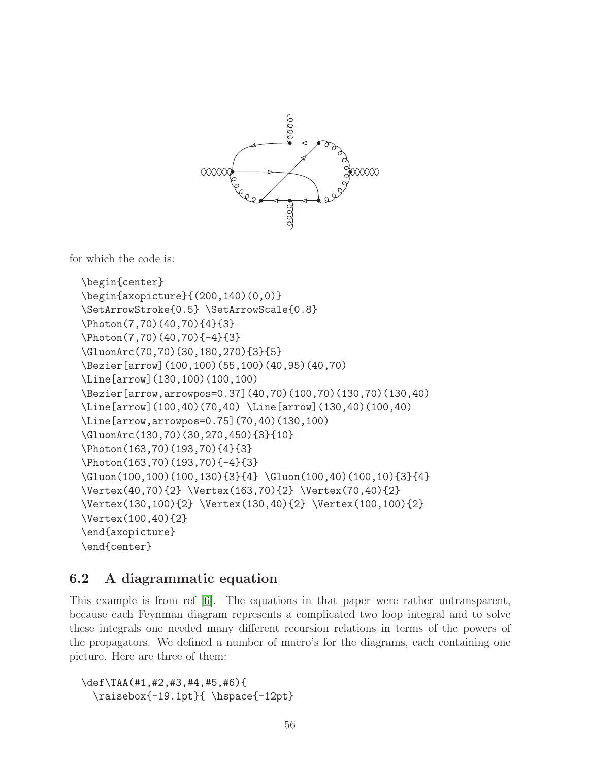

for which the code is:

```
\begin{center}
\begin{axopicture}{(200,140)(0,0)}
\SetArrowStroke{0.5} \SetArrowScale{0.8}
\Photon(7,70)(40,70){4}{3}
\Photon(7,70)(40,70){-4}{3}
\GluonArc(70,70)(30,180,270){3}{5}
\Bezier[arrow](100,100)(55,100)(40,95)(40,70)
\Line[arrow](130,100)(100,100)
\Bezier[arrow,arrowpos=0.37](40,70)(100,70)(130,70)(130,40)
\Line[arrow](100,40)(70,40) \Line[arrow](130,40)(100,40)
\Line[arrow,arrowpos=0.75](70,40)(130,100)
\GluonArc(130,70)(30,270,450){3}{10}
\Photon(163,70)(193,70){4}{3}
\Photon(163,70)(193,70){-4}{3}
\Gluon(100,100)(100,130){3}{4} \Gluon(100,40)(100,10){3}{4}
\Vertex(40,70){2} \Vertex(163,70){2} \Vertex(70,40){2}
\Vertex(130,100){2} \Vertex(130,40){2} \Vertex(100,100){2}
\Vertex(100,40){2}
\end{axopicture}
\end{center}
```
# <span id="page-56-0"></span>6.2 A diagrammatic equation

This example is from ref [\[6\]](#page-61-5). The equations in that paper were rather untransparent, because each Feynman diagram represents a complicated two loop integral and to solve these integrals one needed many different recursion relations in terms of the powers of the propagators. We defined a number of macro's for the diagrams, each containing one picture. Here are three of them:

\def\TAA(#1,#2,#3,#4,#5,#6){ \raisebox{-19.1pt}{ \hspace{-12pt}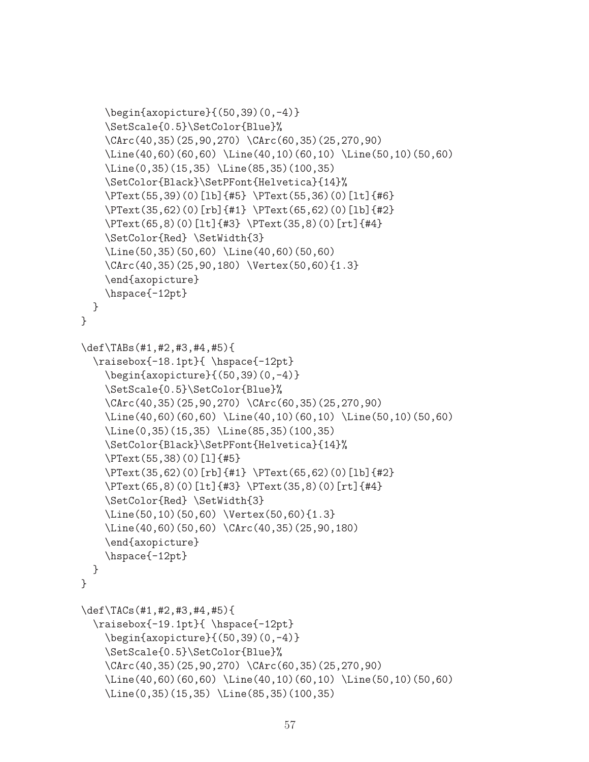```
\begin{axopicture}{(50,39)(0,-4)}
    \SetScale{0.5}\SetColor{Blue}%
    \CArc(40,35)(25,90,270) \CArc(60,35)(25,270,90)
    \Line(40,60)(60,60) \Line(40,10)(60,10) \Line(50,10)(50,60)
    \Line(0,35)(15,35) \Line(85,35)(100,35)
    \SetColor{Black}\SetPFont{Helvetica}{14}%
    \PText(55,39)(0)[lb]{#5} \PText(55,36)(0)[lt]{#6}
    \PText(35,62)(0)[rb]{#1} \PText(65,62)(0)[lb]{#2}
    \PText(65,8)(0)[lt]{#3} \PText(35,8)(0)[rt]{#4}
    \SetColor{Red} \SetWidth{3}
    \Line(50,35)(50,60) \Line(40,60)(50,60)
    \CArc(40,35)(25,90,180) \Vertex(50,60){1.3}
    \end{axopicture}
    \hspace{-12pt}
 }
}
\def\TABs(#1,#2,#3,#4,#5){
  \raisebox{-18.1pt}{ \hspace{-12pt}
    \begin{axopicture}{(50,39)(0,-4)}
    \SetScale{0.5}\SetColor{Blue}%
    \CArc(40,35)(25,90,270) \CArc(60,35)(25,270,90)
    \Line(40,60)(60,60) \Line(40,10)(60,10) \Line(50,10)(50,60)
    \Line(0,35)(15,35) \Line(85,35)(100,35)
    \SetColor{Black}\SetPFont{Helvetica}{14}%
    \PText(55,38)(0)[l]{#5}
    \PText(35,62)(0)[rb]{#1} \PText(65,62)(0)[lb]{#2}
    \PText(65,8)(0)[lt]{#3} \PText(35,8)(0)[rt]{#4}
    \SetColor{Red} \SetWidth{3}
    \Line(50,10)(50,60) \Vertex(50,60){1.3}
    \Line(40,60)(50,60) \CArc(40,35)(25,90,180)
    \end{axopicture}
    \hspace{-12pt}
 }
}
\def\TACs(#1,#2,#3,#4,#5){
  \raisebox{-19.1pt}{ \hspace{-12pt}
    \begin{axopicture}{(50,39)(0,-4)}
    \SetScale{0.5}\SetColor{Blue}%
    \CArc(40,35)(25,90,270) \CArc(60,35)(25,270,90)
    \Line(40,60)(60,60) \Line(40,10)(60,10) \Line(50,10)(50,60)
    \Line(0,35)(15,35) \Line(85,35)(100,35)
```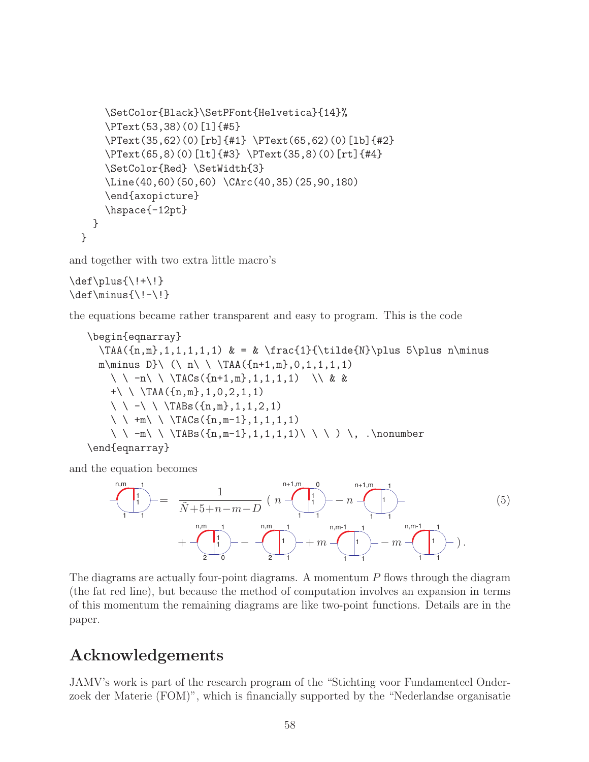```
\SetColor{Black}\SetPFont{Helvetica}{14}%
    \PText(53,38)(0)[l]{#5}
    \PText(35,62)(0)[rb]{#1} \PText(65,62)(0)[lb]{#2}
    \PText(65,8)(0)[lt]{#3} \PText(35,8)(0)[rt]{#4}
    \SetColor{Red} \SetWidth{3}
    \Line(40,60)(50,60) \CArc(40,35)(25,90,180)
    \end{axopicture}
    \hspace{-12pt}
  }
}
```
and together with two extra little macro's

```
\def\plus\{\\! +\\! \}\def\minus{\l-1}
```
the equations became rather transparent and easy to program. This is the code

```
\begin{eqnarray}
  \TAA(\{n,m\},1,1,1,1,1) & = & \frac{1}{\tilde{N}\plus 5\plus n\minus
  m\minus D}\ (\ n\ \ \TAA({n+1,m},0,1,1,1,1)
    \ \ -n\ \ \TACs({n+1,m},1,1,1,1) \\ & &
    +\ \ \TAA({n,m},1,0,2,1,1)
    \ \ -\ \ \TABs({n,m},1,1,2,1)
    \ \ +m\ \ \TACs({n,m-1},1,1,1,1)
    \ \ -m\ \ \TABs({n,m-1},1,1,1,1)\ \ \ ) \, .\nonumber
\end{eqnarray}
```
and the equation becomes

$$
\begin{array}{c}\n\begin{pmatrix}\n1 \\
1 \\
1\n\end{pmatrix} = \frac{1}{\tilde{N} + 5 + n - m - D} \left( n - \frac{1}{n} \right) - n - \frac{n + 1, m - 1}{n} \\
+ \frac{n, m - 1}{2} - \frac{n, m - 1}{2} + m - \frac{n, m - 1}{n} - m - \frac{n, m - 1}{n} - n\n\end{array} \tag{5}
$$

The diagrams are actually four-point diagrams. A momentum  $P$  flows through the diagram (the fat red line), but because the method of computation involves an expansion in terms of this momentum the remaining diagrams are like two-point functions. Details are in the paper.

# Acknowledgements

JAMV's work is part of the research program of the "Stichting voor Fundamenteel Onderzoek der Materie (FOM)", which is financially supported by the "Nederlandse organisatie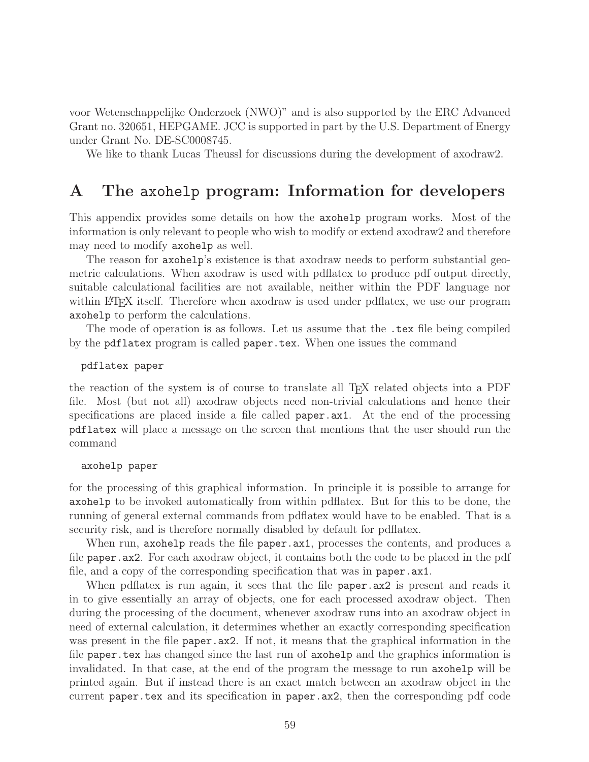voor Wetenschappelijke Onderzoek (NWO)" and is also supported by the ERC Advanced Grant no. 320651, HEPGAME. JCC is supported in part by the U.S. Department of Energy under Grant No. DE-SC0008745.

We like to thank Lucas Theussl for discussions during the development of axodraw2.

# <span id="page-59-0"></span>A The axohelp program: Information for developers

This appendix provides some details on how the axohelp program works. Most of the information is only relevant to people who wish to modify or extend axodraw2 and therefore may need to modify axohelp as well.

The reason for axohelp's existence is that axodraw needs to perform substantial geometric calculations. When axodraw is used with pdflatex to produce pdf output directly, suitable calculational facilities are not available, neither within the PDF language nor within LAT<sub>E</sub>X itself. Therefore when axodraw is used under pdflatex, we use our program axohelp to perform the calculations.

The mode of operation is as follows. Let us assume that the .tex file being compiled by the pdflatex program is called paper.tex. When one issues the command

pdflatex paper

the reaction of the system is of course to translate all T<sub>EX</sub> related objects into a PDF file. Most (but not all) axodraw objects need non-trivial calculations and hence their specifications are placed inside a file called paper.ax1. At the end of the processing pdflatex will place a message on the screen that mentions that the user should run the command

axohelp paper

for the processing of this graphical information. In principle it is possible to arrange for axohelp to be invoked automatically from within pdflatex. But for this to be done, the running of general external commands from pdflatex would have to be enabled. That is a security risk, and is therefore normally disabled by default for pdflatex.

When run, axohelp reads the file paper.ax1, processes the contents, and produces a file paper.ax2. For each axodraw object, it contains both the code to be placed in the pdf file, and a copy of the corresponding specification that was in paper.ax1.

When pdflatex is run again, it sees that the file paper.ax2 is present and reads it in to give essentially an array of objects, one for each processed axodraw object. Then during the processing of the document, whenever axodraw runs into an axodraw object in need of external calculation, it determines whether an exactly corresponding specification was present in the file paper.ax2. If not, it means that the graphical information in the file paper.tex has changed since the last run of axohelp and the graphics information is invalidated. In that case, at the end of the program the message to run axohelp will be printed again. But if instead there is an exact match between an axodraw object in the current paper.tex and its specification in paper.ax2, then the corresponding pdf code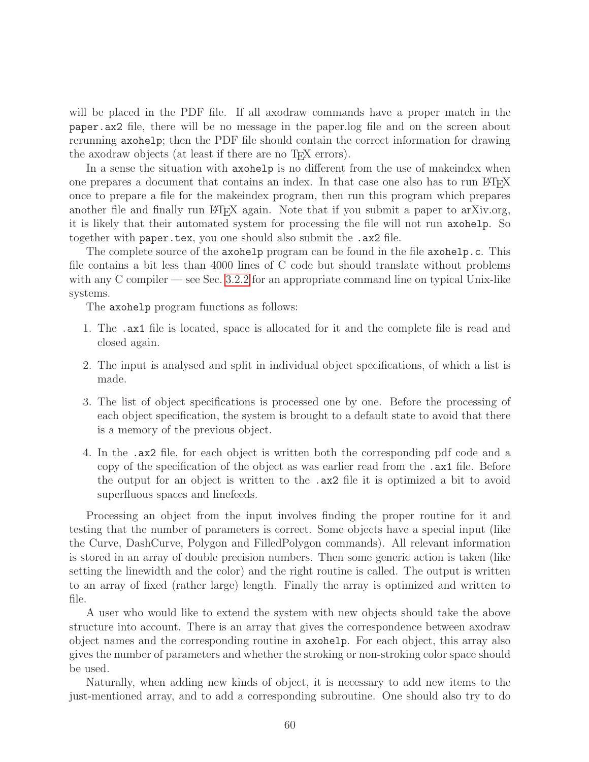will be placed in the PDF file. If all axodraw commands have a proper match in the paper.ax2 file, there will be no message in the paper.log file and on the screen about rerunning axohelp; then the PDF file should contain the correct information for drawing the axodraw objects (at least if there are no T<sub>EX</sub> errors).

In a sense the situation with axohelp is no different from the use of makeindex when one prepares a document that contains an index. In that case one also has to run LAT<sub>EX</sub> once to prepare a file for the makeindex program, then run this program which prepares another file and finally run LATEX again. Note that if you submit a paper to arXiv.org, it is likely that their automated system for processing the file will not run axohelp. So together with paper.tex, you one should also submit the .ax2 file.

The complete source of the axohelp program can be found in the file axohelp.c. This file contains a bit less than 4000 lines of C code but should translate without problems with any C compiler — see Sec. [3.2.2](#page-8-2) for an appropriate command line on typical Unix-like systems.

The axohelp program functions as follows:

- 1. The .ax1 file is located, space is allocated for it and the complete file is read and closed again.
- 2. The input is analysed and split in individual object specifications, of which a list is made.
- 3. The list of object specifications is processed one by one. Before the processing of each object specification, the system is brought to a default state to avoid that there is a memory of the previous object.
- 4. In the .ax2 file, for each object is written both the corresponding pdf code and a copy of the specification of the object as was earlier read from the .ax1 file. Before the output for an object is written to the .ax2 file it is optimized a bit to avoid superfluous spaces and linefeeds.

Processing an object from the input involves finding the proper routine for it and testing that the number of parameters is correct. Some objects have a special input (like the Curve, DashCurve, Polygon and FilledPolygon commands). All relevant information is stored in an array of double precision numbers. Then some generic action is taken (like setting the linewidth and the color) and the right routine is called. The output is written to an array of fixed (rather large) length. Finally the array is optimized and written to file.

A user who would like to extend the system with new objects should take the above structure into account. There is an array that gives the correspondence between axodraw object names and the corresponding routine in axohelp. For each object, this array also gives the number of parameters and whether the stroking or non-stroking color space should be used.

Naturally, when adding new kinds of object, it is necessary to add new items to the just-mentioned array, and to add a corresponding subroutine. One should also try to do